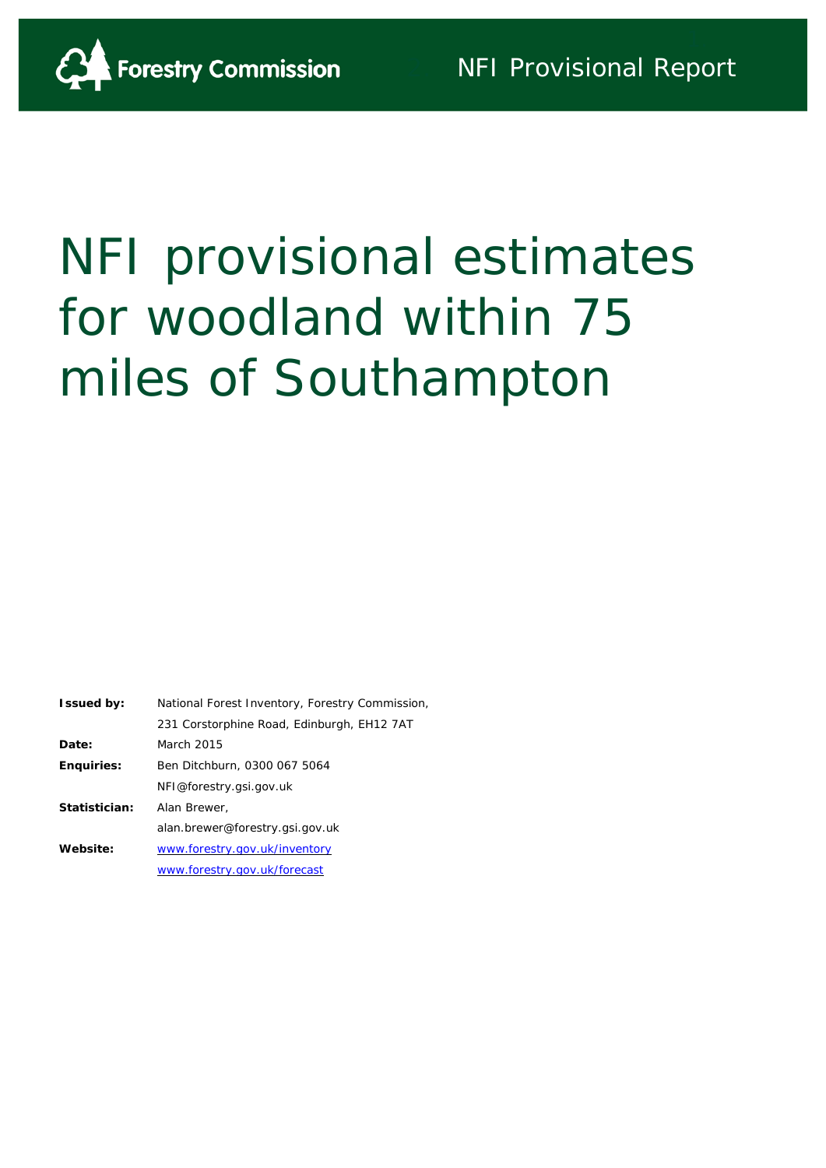

# NFI provisional estimates for woodland within 75 miles of Southampton

| <b>Issued by:</b> | National Forest Inventory, Forestry Commission, |
|-------------------|-------------------------------------------------|
|                   | 231 Corstorphine Road, Edinburgh, EH12 7AT      |
| Date:             | March 2015                                      |
| <b>Enquiries:</b> | Ben Ditchburn, 0300 067 5064                    |
|                   | NFI@forestry.gsi.gov.uk                         |
| Statistician:     | Alan Brewer,                                    |
|                   | alan.brewer@forestry.gsi.gov.uk                 |
| Website:          | www.forestry.gov.uk/inventory                   |
|                   | www.forestry.gov.uk/forecast                    |
|                   |                                                 |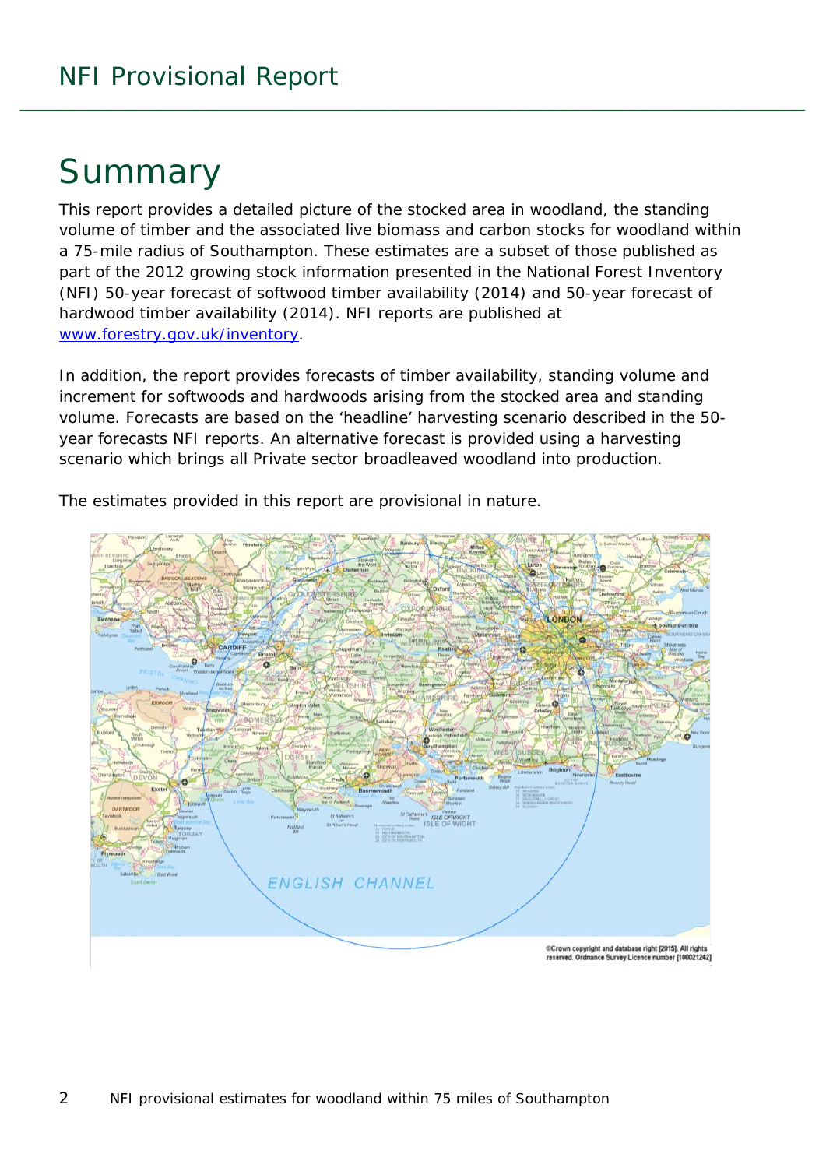# Summary

This report provides a detailed picture of the stocked area in woodland, the standing volume of timber and the associated live biomass and carbon stocks for woodland within a 75-mile radius of Southampton. These estimates are a subset of those published as part of the 2012 growing stock information presented in the National Forest Inventory (NFI) *50-year forecast of softwood timber availability* (2014) and *50-year forecast of hardwood timber availability* (2014). NFI reports are published at [www.forestry.gov.uk/inventory.](http://www.forestry.gov.uk/inventory)

In addition, the report provides forecasts of timber availability, standing volume and increment for softwoods and hardwoods arising from the stocked area and standing volume. Forecasts are based on the 'headline' harvesting scenario described in the 50 year forecasts NFI reports. An alternative forecast is provided using a harvesting scenario which brings all Private sector broadleaved woodland into production.

The estimates provided in this report are provisional in nature.

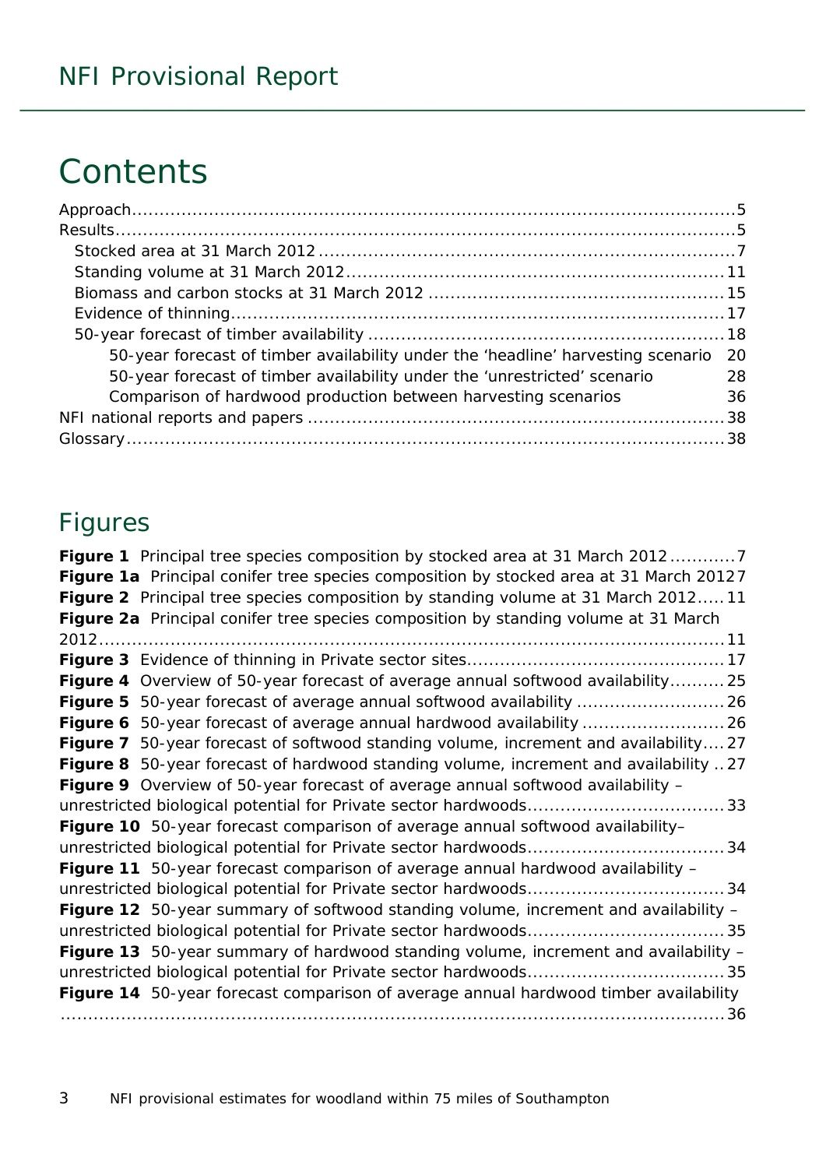# **Contents**

| 50-year forecast of timber availability under the 'headline' harvesting scenario | -20 |
|----------------------------------------------------------------------------------|-----|
| 50-year forecast of timber availability under the 'unrestricted' scenario        | 28  |
| Comparison of hardwood production between harvesting scenarios                   | 36  |
|                                                                                  |     |
|                                                                                  |     |

### Figures

| Figure 1 Principal tree species composition by stocked area at 31 March 20127              |
|--------------------------------------------------------------------------------------------|
| Figure 1a Principal conifer tree species composition by stocked area at 31 March 20127     |
| Figure 2 Principal tree species composition by standing volume at 31 March 201211          |
| Figure 2a Principal conifer tree species composition by standing volume at 31 March        |
|                                                                                            |
|                                                                                            |
| Figure 4 Overview of 50-year forecast of average annual softwood availability 25           |
|                                                                                            |
|                                                                                            |
| Figure 7 50-year forecast of softwood standing volume, increment and availability27        |
| Figure 8 50-year forecast of hardwood standing volume, increment and availability 27       |
| Figure 9 Overview of 50-year forecast of average annual softwood availability -            |
|                                                                                            |
| Figure 10 50-year forecast comparison of average annual softwood availability-             |
|                                                                                            |
| Figure 11 50-year forecast comparison of average annual hardwood availability -            |
|                                                                                            |
| Figure 12 50-year summary of softwood standing volume, increment and availability -        |
|                                                                                            |
| <b>Figure 13</b> 50-year summary of hardwood standing volume, increment and availability – |
|                                                                                            |
| Figure 14 50-year forecast comparison of average annual hardwood timber availability       |
|                                                                                            |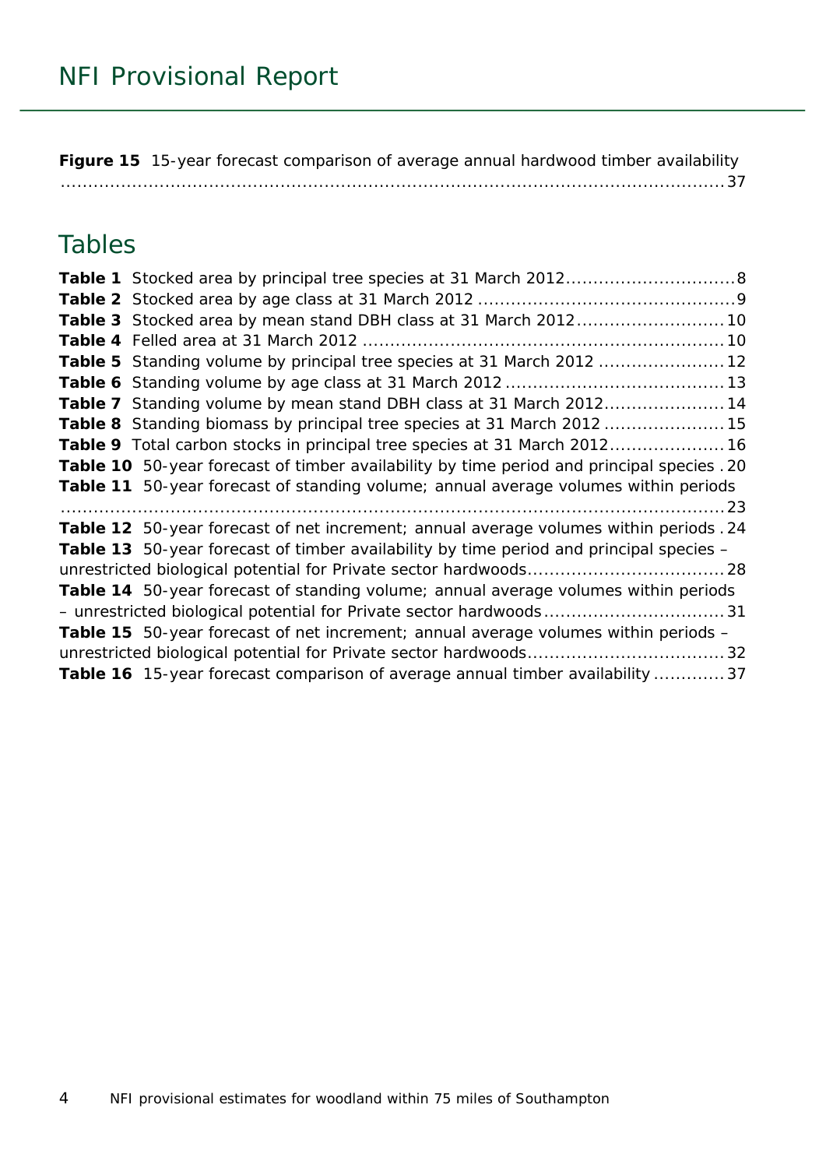**Figure 15** [15-year forecast comparison of average annual hardwood timber availability](#page-36-0) [.........................................................................................................................37](#page-36-0)

### Tables

| Table 3 Stocked area by mean stand DBH class at 31 March 2012 10                           |
|--------------------------------------------------------------------------------------------|
|                                                                                            |
| Table 5 Standing volume by principal tree species at 31 March 2012  12                     |
|                                                                                            |
| Table 7 Standing volume by mean stand DBH class at 31 March 201214                         |
| Table 8 Standing biomass by principal tree species at 31 March 2012  15                    |
| Table 9 Total carbon stocks in principal tree species at 31 March 2012 16                  |
| Table 10 50-year forecast of timber availability by time period and principal species . 20 |
| Table 11 50-year forecast of standing volume; annual average volumes within periods        |
|                                                                                            |
| Table 12 50-year forecast of net increment; annual average volumes within periods . 24     |
| Table 13 50-year forecast of timber availability by time period and principal species -    |
|                                                                                            |
| Table 14 50-year forecast of standing volume; annual average volumes within periods        |
|                                                                                            |
| <b>Table 15</b> 50-year forecast of net increment; annual average volumes within periods - |
|                                                                                            |
| Table 16 15-year forecast comparison of average annual timber availability  37             |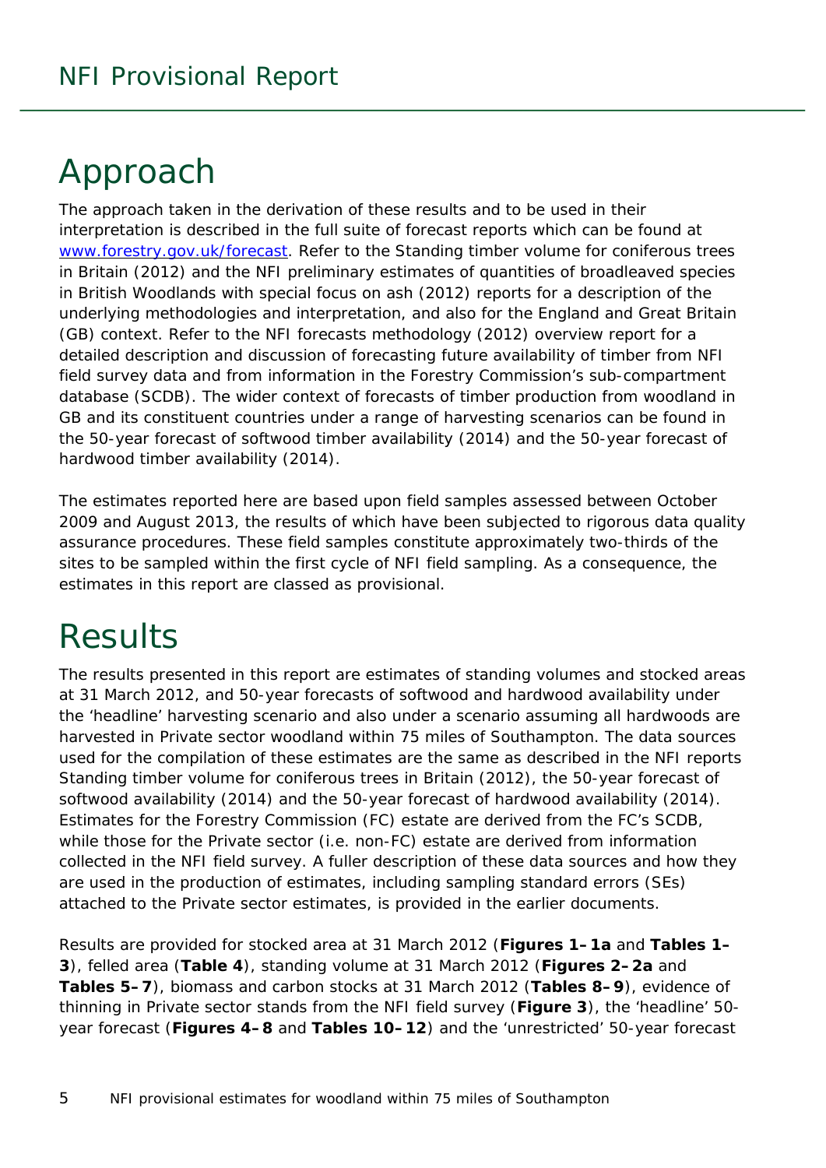# <span id="page-4-0"></span>Approach

The approach taken in the derivation of these results and to be used in their interpretation is described in the full suite of forecast reports which can be found at [www.forestry.gov.uk/forecast.](http://www.forestry.gov.uk/forecast) Refer to the *Standing timber volume for coniferous trees in Britain* (2012) and the *NFI preliminary estimates of quantities of broadleaved species in British Woodlands with special focus on ash* (2012) reports for a description of the underlying methodologies and interpretation, and also for the England and Great Britain (GB) context. Refer to the *NFI forecasts methodology* (2012) overview report for a detailed description and discussion of forecasting future availability of timber from NFI field survey data and from information in the Forestry Commission's sub-compartment database (SCDB). The wider context of forecasts of timber production from woodland in GB and its constituent countries under a range of harvesting scenarios can be found in the *50-year forecast of softwood timber availability* (2014) and the *50-year forecast of hardwood timber availability* (2014).

The estimates reported here are based upon field samples assessed between October 2009 and August 2013, the results of which have been subjected to rigorous data quality assurance procedures. These field samples constitute approximately two-thirds of the sites to be sampled within the first cycle of NFI field sampling. As a consequence, the estimates in this report are classed as provisional.

# <span id="page-4-1"></span>**Results**

The results presented in this report are estimates of standing volumes and stocked areas at 31 March 2012, and 50-year forecasts of softwood and hardwood availability under the 'headline' harvesting scenario and also under a scenario assuming all hardwoods are harvested in Private sector woodland within 75 miles of Southampton. The data sources used for the compilation of these estimates are the same as described in the NFI reports *Standing timber volume for coniferous trees in Britain* (2012), the *50-year forecast of softwood availability* (2014) and the *50-year forecast of hardwood availability* (2014). Estimates for the Forestry Commission (FC) estate are derived from the FC's SCDB, while those for the Private sector (i.e. non-FC) estate are derived from information collected in the NFI field survey. A fuller description of these data sources and how they are used in the production of estimates, including sampling standard errors (SEs) attached to the Private sector estimates, is provided in the earlier documents.

Results are provided for stocked area at 31 March 2012 (**Figures 1–1a** and **Tables 1– 3**), felled area (**Table 4**), standing volume at 31 March 2012 (**Figures 2–2a** and **Tables 5–7**), biomass and carbon stocks at 31 March 2012 (**Tables 8–9**), evidence of thinning in Private sector stands from the NFI field survey (**Figure 3**), the 'headline' 50 year forecast (**Figures 4–8** and **Tables 10–12**) and the 'unrestricted' 50-year forecast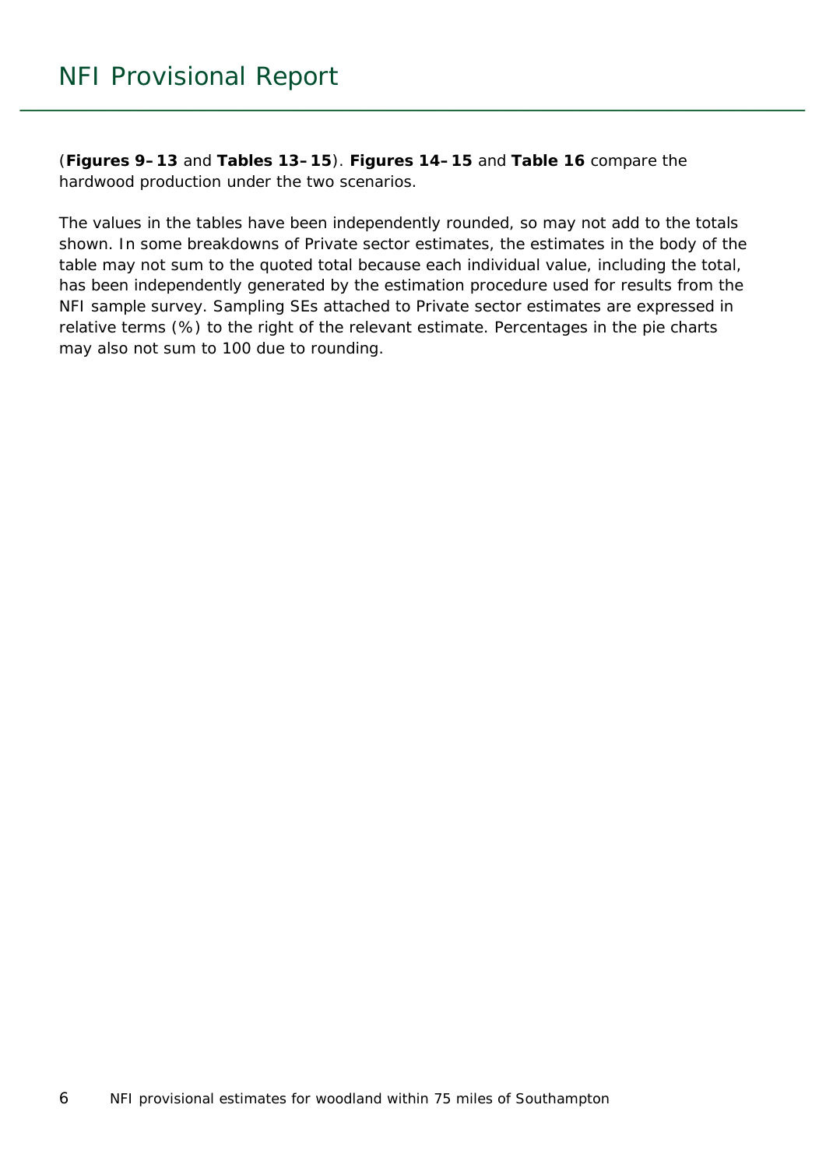(**Figures 9–13** and **Tables 13–15**). **Figures 14–15** and **Table 16** compare the hardwood production under the two scenarios.

The values in the tables have been independently rounded, so may not add to the totals shown. In some breakdowns of Private sector estimates, the estimates in the body of the table may not sum to the quoted total because each individual value, including the total, has been independently generated by the estimation procedure used for results from the NFI sample survey. Sampling SEs attached to Private sector estimates are expressed in relative terms (%) to the right of the relevant estimate. Percentages in the pie charts may also not sum to 100 due to rounding.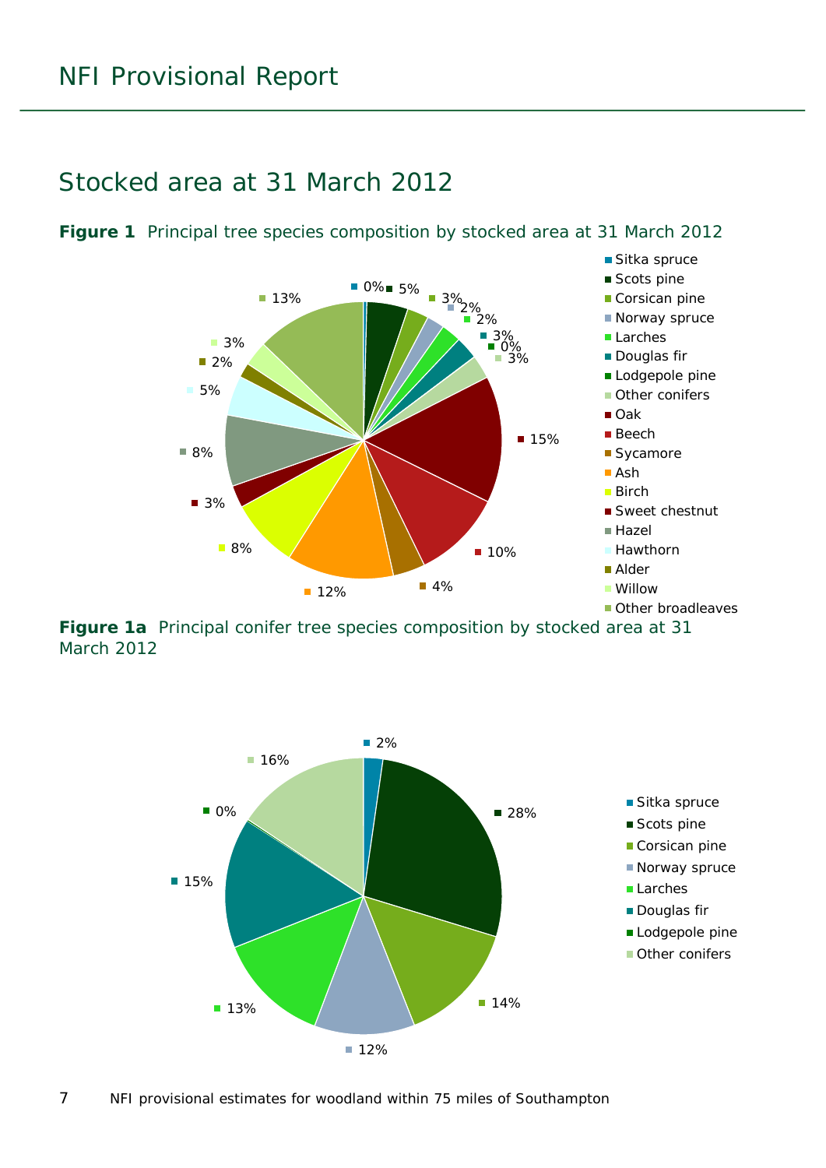#### <span id="page-6-0"></span>Stocked area at 31 March 2012



<span id="page-6-1"></span>**Figure 1** Principal tree species composition by stocked area at 31 March 2012

<span id="page-6-2"></span>**Figure 1a** Principal conifer tree species composition by stocked area at 31 March 2012

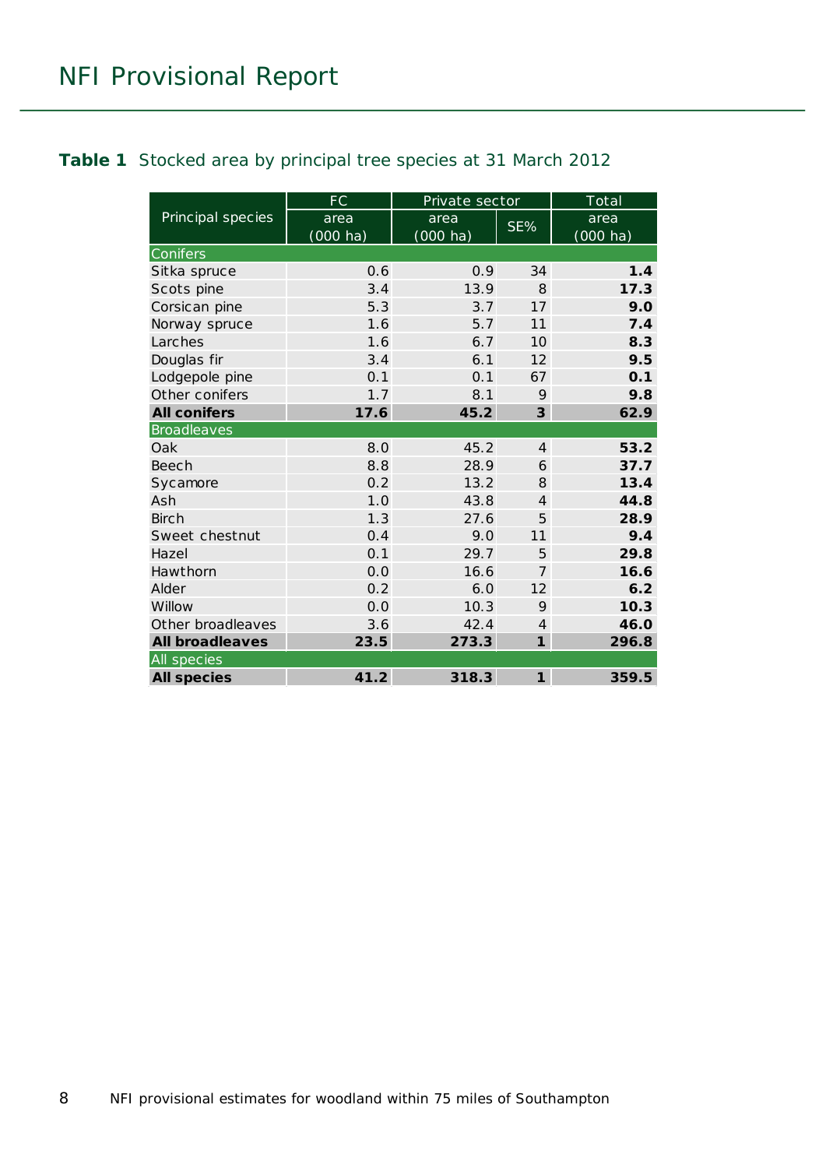#### <span id="page-7-0"></span>**Table 1** Stocked area by principal tree species at 31 March 2012

|                        | <b>FC</b>          | Private sector     |                 | Total              |
|------------------------|--------------------|--------------------|-----------------|--------------------|
| Principal species      | area               | area               | SE%             | area               |
|                        | $(000 \text{ ha})$ | $(000 \text{ ha})$ |                 | $(000 \text{ ha})$ |
| Conifers               |                    |                    |                 |                    |
| Sitka spruce           | 0.6                | 0.9                | 34              | 1.4                |
| Scots pine             | 3.4                | 13.9               | 8               | 17.3               |
| Corsican pine          | 5.3                | 3.7                | 17              | 9.0                |
| Norway spruce          | 1.6                | 5.7                | 11              | 7.4                |
| Larches                | 1.6                | 6.7                | 10 <sup>2</sup> | 8.3                |
| Douglas fir            | 3.4                | 6.1                | 12              | 9.5                |
| Lodgepole pine         | 0.1                | 0.1                | 67              | 0.1                |
| Other conifers         | 1.7                | 8.1                | 9               | 9.8                |
| <b>All conifers</b>    | 17.6               | 45.2               | 3               | 62.9               |
| <b>Broadleaves</b>     |                    |                    |                 |                    |
| Oak                    | 8.0                | 45.2               | $\overline{4}$  | 53.2               |
| <b>Beech</b>           | 8.8                | 28.9               | 6               | 37.7               |
| Sycamore               | 0.2                | 13.2               | 8               | 13.4               |
| Ash                    | 1.0                | 43.8               | $\overline{4}$  | 44.8               |
| Birch                  | 1.3                | 27.6               | 5               | 28.9               |
| Sweet chestnut         | 0.4                | 9.0                | 11              | 9.4                |
| Hazel                  | 0.1                | 29.7               | 5               | 29.8               |
| Hawthorn               | 0.0                | 16.6               | 7               | 16.6               |
| Alder                  | 0.2                | 6.0                | 12              | 6.2                |
| Willow                 | 0.0                | 10.3               | 9               | 10.3               |
| Other broadleaves      | 3.6                | 42.4               | $\overline{4}$  | 46.0               |
| <b>All broadleaves</b> | 23.5               | 273.3              | $\mathbf{1}$    | 296.8              |
| <b>All</b> species     |                    |                    |                 |                    |
| <b>All species</b>     | 41.2               | 318.3              | $\mathbf{1}$    | 359.5              |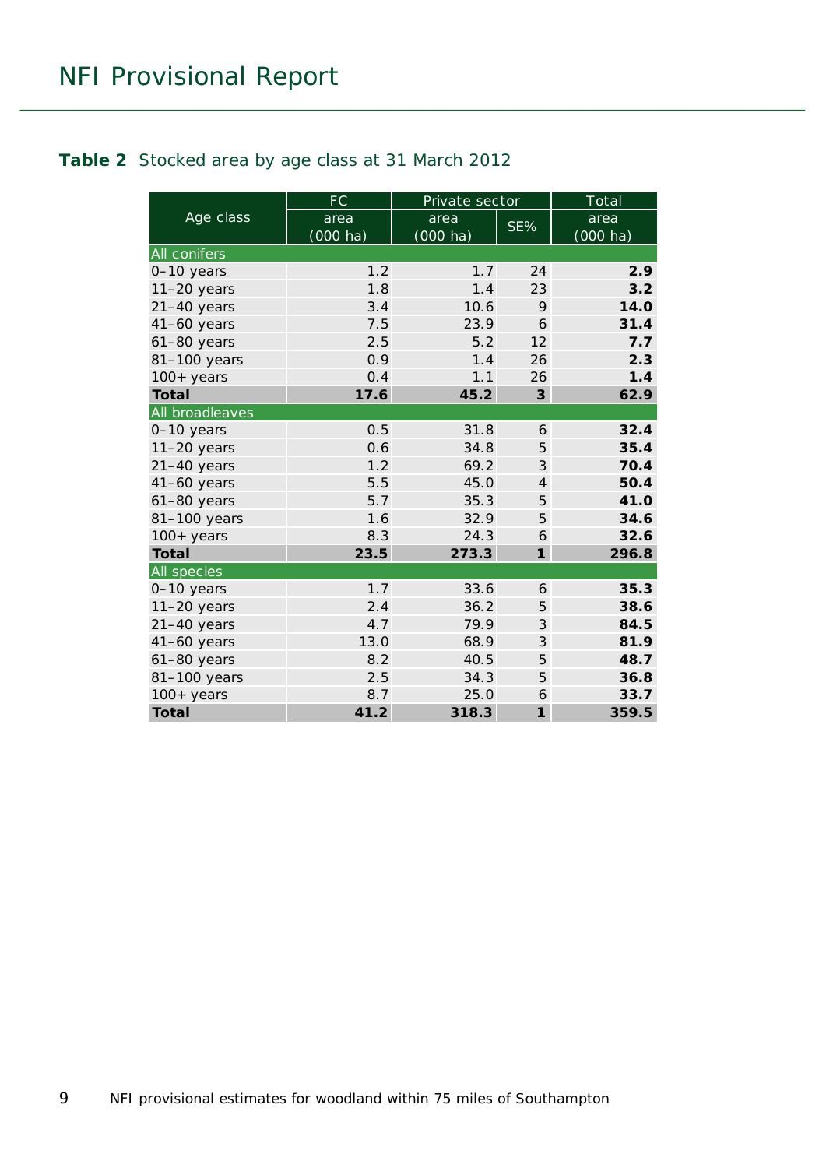#### <span id="page-8-0"></span>**Table 2** Stocked area by age class at 31 March 2012

|                     | <b>FC</b>          | Private sector     |                | Total              |
|---------------------|--------------------|--------------------|----------------|--------------------|
| Age class           | area               | area               | SE%            | area               |
|                     | $(000 \text{ ha})$ | $(000 \text{ ha})$ |                | $(000 \text{ ha})$ |
| <b>All conifers</b> |                    |                    |                |                    |
| 0-10 years          | 1.2                | 1.7                | 24             | 2.9                |
| $11-20$ years       | 1.8                | 1.4                | 23             | 3.2                |
| $21-40$ years       | 3.4                | 10.6               | 9              | 14.0               |
| 41-60 years         | 7.5                | 23.9               | 6              | 31.4               |
| $61-80$ years       | 2.5                | 5.2                | 12             | 7.7                |
| 81-100 years        | 0.9                | 1.4                | 26             | 2.3                |
| $100+$ years        | 0.4                | 1.1                | 26             | 1.4                |
| <b>Total</b>        | 17.6               | 45.2               | 3              | 62.9               |
| All broadleaves     |                    |                    |                |                    |
| 0-10 years          | 0.5                | 31.8               | 6              | 32.4               |
| $11-20$ years       | 0.6                | 34.8               | 5              | 35.4               |
| $21-40$ years       | 1.2                | 69.2               | 3              | 70.4               |
| $41-60$ years       | 5.5                | 45.0               | $\overline{4}$ | 50.4               |
| $61-80$ years       | 5.7                | 35.3               | 5              | 41.0               |
| 81-100 years        | 1.6                | 32.9               | 5              | 34.6               |
| $100+$ years        | 8.3                | 24.3               | 6              | 32.6               |
| <b>Total</b>        | 23.5               | 273.3              | $\mathbf{1}$   | 296.8              |
| <b>All species</b>  |                    |                    |                |                    |
| 0-10 years          | 1.7                | 33.6               | 6              | 35.3               |
| $11-20$ years       | 2.4                | 36.2               | 5              | 38.6               |
| $21-40$ years       | 4.7                | 79.9               | 3              | 84.5               |
| $41-60$ years       | 13.0               | 68.9               | 3              | 81.9               |
| 61-80 years         | 8.2                | 40.5               | 5              | 48.7               |
| 81-100 years        | 2.5                | 34.3               | 5              | 36.8               |
| $100+$ years        | 8.7                | 25.0               | 6              | 33.7               |
| <b>Total</b>        | 41.2               | 318.3              | $\mathbf{1}$   | 359.5              |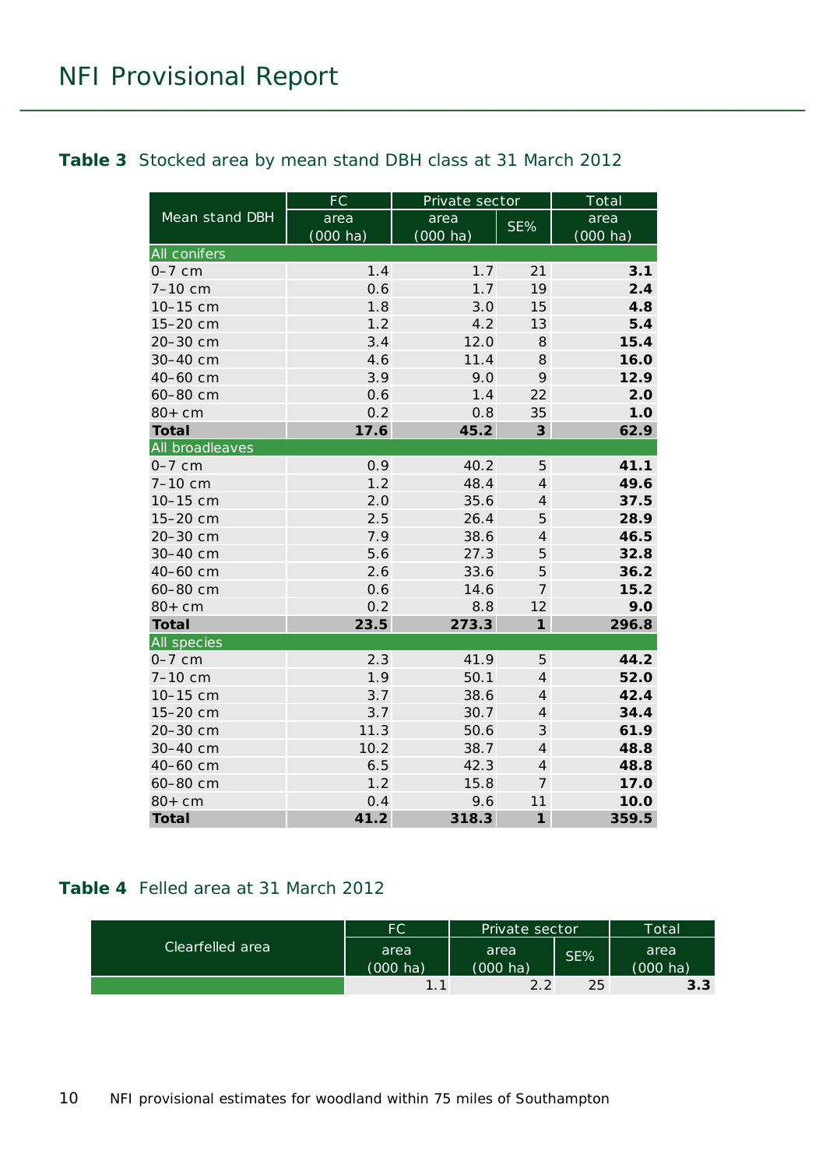#### <span id="page-9-0"></span>**Table 3** Stocked area by mean stand DBH class at 31 March 2012

|                     | <b>FC</b>  | Private sector     |                | Total              |
|---------------------|------------|--------------------|----------------|--------------------|
| Mean stand DBH      | area       | area               | SE%            | area               |
|                     | $(000$ ha) | $(000 \text{ ha})$ |                | $(000 \text{ ha})$ |
| <b>All conifers</b> |            |                    |                |                    |
| $0-7$ cm            | 1.4        | 1.7                | 21             | 3.1                |
| 7-10 cm             | 0.6        | 1.7                | 19             | 2.4                |
| 10-15 cm            | 1.8        | 3.0                | 15             | 4.8                |
| 15-20 cm            | 1.2        | 4.2                | 13             | 5.4                |
| 20-30 cm            | 3.4        | 12.0               | 8              | 15.4               |
| 30-40 cm            | 4.6        | 11.4               | 8              | 16.0               |
| 40-60 cm            | 3.9        | 9.0                | 9              | 12.9               |
| 60-80 cm            | 0.6        | 1.4                | 22             | 2.0                |
| $80+cm$             | 0.2        | 0.8                | 35             | 1.0                |
| <b>Total</b>        | 17.6       | 45.2               | $\mathbf{3}$   | 62.9               |
| All broadleaves     |            |                    |                |                    |
| $0-7$ cm            | 0.9        | 40.2               | 5              | 41.1               |
| $7-10$ cm           | 1.2        | 48.4               | $\overline{4}$ | 49.6               |
| 10-15 cm            | 2.0        | 35.6               | $\overline{4}$ | 37.5               |
| 15-20 cm            | 2.5        | 26.4               | 5              | 28.9               |
| 20-30 cm            | 7.9        | 38.6               | $\overline{4}$ | 46.5               |
| 30-40 cm            | 5.6        | 27.3               | 5              | 32.8               |
| 40-60 cm            | 2.6        | 33.6               | 5              | 36.2               |
| 60-80 cm            | 0.6        | 14.6               | $\overline{7}$ | 15.2               |
| $80+cm$             | 0.2        | 8.8                | 12             | 9.0                |
| <b>Total</b>        | 23.5       | 273.3              | $\mathbf{1}$   | 296.8              |
| All species         |            |                    |                |                    |
| $0-7$ cm            | 2.3        | 41.9               | 5              | 44.2               |
| 7-10 cm             | 1.9        | 50.1               | $\overline{4}$ | 52.0               |
| 10-15 cm            | 3.7        | 38.6               | $\overline{4}$ | 42.4               |
| 15-20 cm            | 3.7        | 30.7               | $\overline{4}$ | 34.4               |
| 20-30 cm            | 11.3       | 50.6               | $\mathcal{S}$  | 61.9               |
| 30-40 cm            | 10.2       | 38.7               | $\overline{4}$ | 48.8               |
| 40-60 cm            | 6.5        | 42.3               | $\overline{4}$ | 48.8               |
| 60-80 cm            | 1.2        | 15.8               | $\overline{7}$ | 17.0               |
| $80+cm$             | 0.4        | 9.6                | 11             | 10.0               |
| <b>Total</b>        | 41.2       | 318.3              | $\mathbf{1}$   | 359.5              |

#### <span id="page-9-1"></span>**Table 4** Felled area at 31 March 2012

| Clearfelled area | FC                 | Private sector     |     | Total    |
|------------------|--------------------|--------------------|-----|----------|
|                  | area               | area               | SE% | area     |
|                  | $(000 \text{ ha})$ | $(000 \text{ ha})$ |     | (000 ha) |
|                  | 11                 | 2.2                | 25  | 3.3      |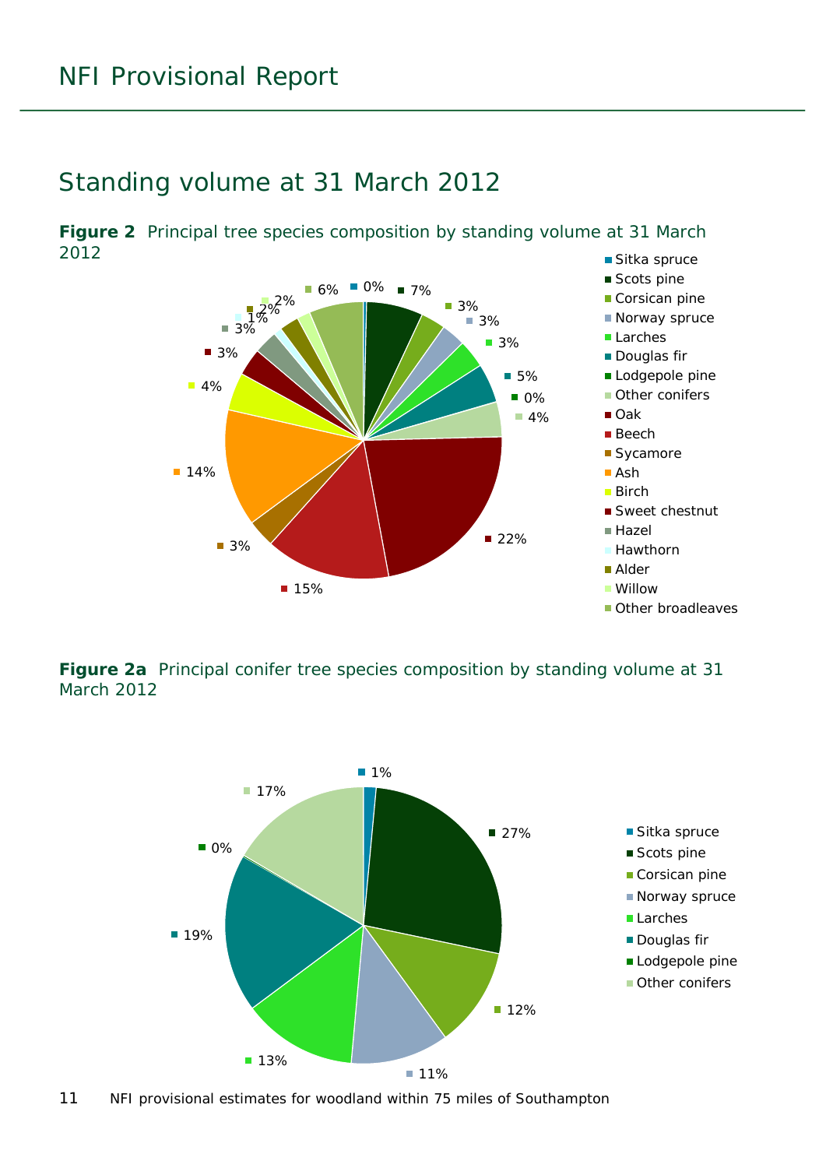#### <span id="page-10-0"></span>Standing volume at 31 March 2012

<span id="page-10-1"></span>■ Sitka spruce **Figure 2** Principal tree species composition by standing volume at 31 March 2012



<span id="page-10-2"></span>**Figure 2a** Principal conifer tree species composition by standing volume at 31 March 2012



11 NFI provisional estimates for woodland within 75 miles of Southampton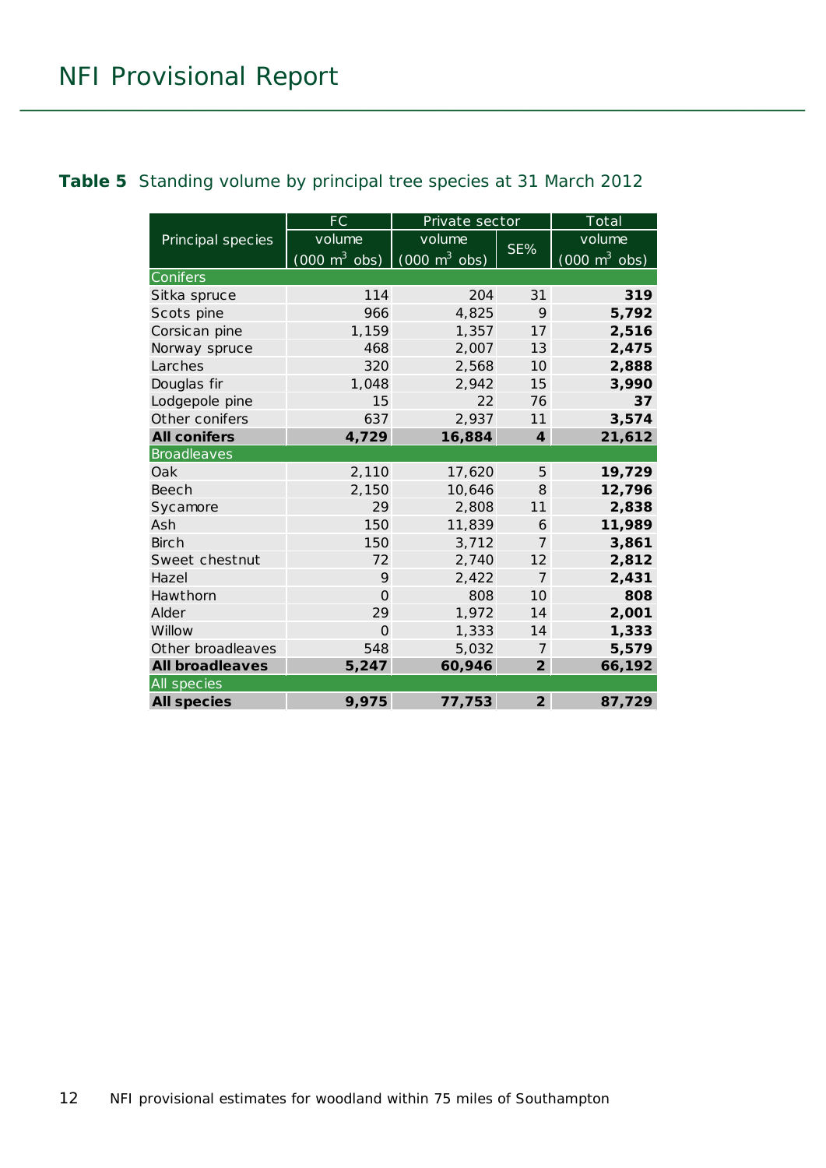#### <span id="page-11-0"></span>**Table 5** Standing volume by principal tree species at 31 March 2012

|                        | FC                                                              | Private sector |                         | Total                           |
|------------------------|-----------------------------------------------------------------|----------------|-------------------------|---------------------------------|
| Principal species      | volume                                                          | volume         |                         | volume                          |
|                        | $(000 \text{ m}^3 \text{ obs})$ $(000 \text{ m}^3 \text{ obs})$ |                | SE%                     | $(000 \text{ m}^3 \text{ obs})$ |
| Conifers               |                                                                 |                |                         |                                 |
| Sitka spruce           | 114                                                             | 204            | 31                      | 319                             |
| Scots pine             | 966                                                             | 4,825          | 9                       | 5,792                           |
| Corsican pine          | 1,159                                                           | 1,357          | 17                      | 2,516                           |
| Norway spruce          | 468                                                             | 2,007          | 13                      | 2,475                           |
| Larches                | 320                                                             | 2,568          | 10 <sup>2</sup>         | 2,888                           |
| Douglas fir            | 1,048                                                           | 2,942          | 15                      | 3,990                           |
| Lodgepole pine         | 15                                                              | 22             | 76                      | 37                              |
| Other conifers         | 637                                                             | 2,937          | 11                      | 3,574                           |
| <b>All conifers</b>    | 4,729                                                           | 16,884         | $\overline{\mathbf{4}}$ | 21,612                          |
| <b>Broadleaves</b>     |                                                                 |                |                         |                                 |
| Oak                    | 2,110                                                           | 17,620         | 5                       | 19,729                          |
| Beech                  | 2,150                                                           | 10,646         | 8                       | 12,796                          |
| Sycamore               | 29                                                              | 2,808          | 11                      | 2,838                           |
| Ash                    | 150                                                             | 11,839         | 6                       | 11,989                          |
| <b>Birch</b>           | 150                                                             | 3,712          | $\overline{7}$          | 3,861                           |
| Sweet chestnut         | 72                                                              | 2,740          | 12                      | 2,812                           |
| Hazel                  | 9                                                               | 2,422          | $\overline{7}$          | 2,431                           |
| Hawthorn               | $\Omega$                                                        | 808            | 10                      | 808                             |
| Alder                  | 29                                                              | 1,972          | 14                      | 2,001                           |
| Willow                 | $\Omega$                                                        | 1,333          | 14                      | 1,333                           |
| Other broadleaves      | 548                                                             | 5,032          | 7                       | 5,579                           |
| <b>All broadleaves</b> | 5,247                                                           | 60,946         | $\overline{2}$          | 66,192                          |
| All species            |                                                                 |                |                         |                                 |
| <b>All species</b>     | 9,975                                                           | 77,753         | $\overline{2}$          | 87,729                          |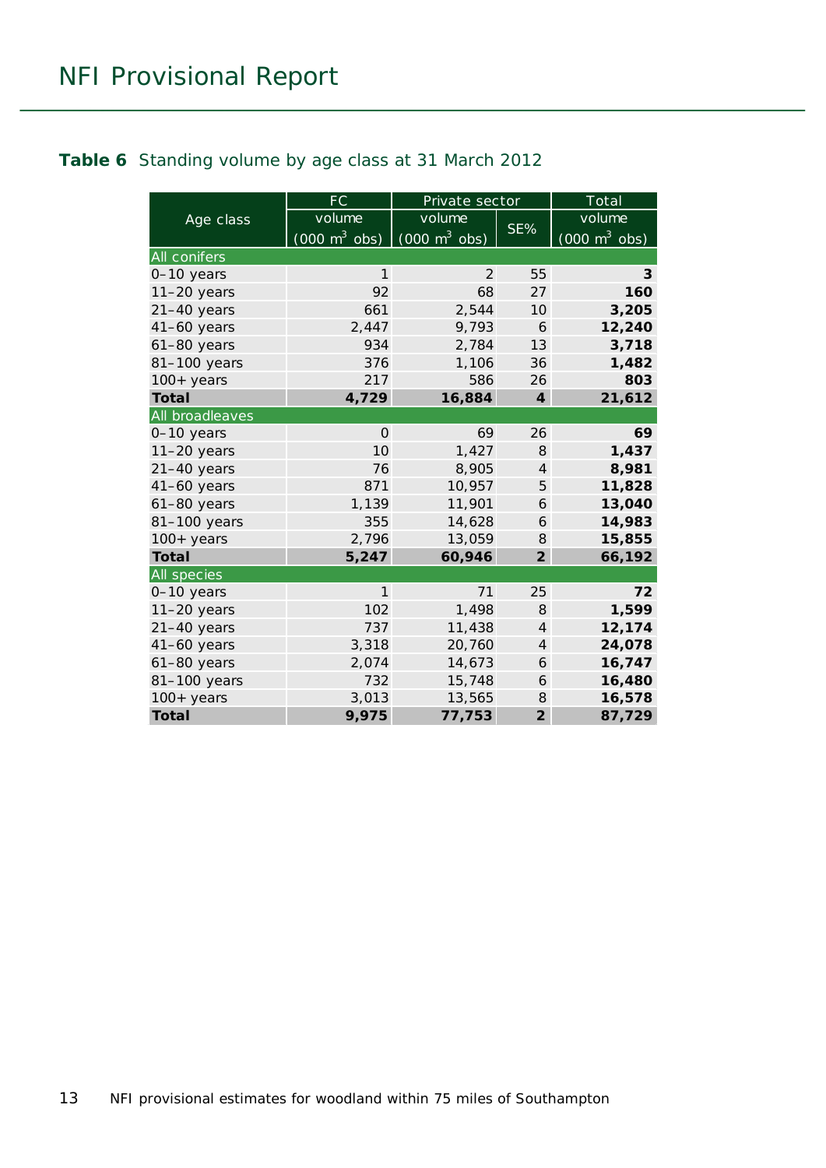#### <span id="page-12-0"></span>**Table 6** Standing volume by age class at 31 March 2012

|                 | <b>FC</b>                       | Private sector                  |                | Total                           |
|-----------------|---------------------------------|---------------------------------|----------------|---------------------------------|
| Age class       | volume                          | volume                          |                | volume                          |
|                 | $(000 \text{ m}^3 \text{ obs})$ | $(000 \text{ m}^3 \text{ obs})$ | SE%            | $(000 \text{ m}^3 \text{ obs})$ |
| All conifers    |                                 |                                 |                |                                 |
| 0-10 years      | $\mathbf{1}$                    | 2                               | 55             | 3                               |
| $11-20$ years   | 92                              | 68                              | 27             | 160                             |
| $21-40$ years   | 661                             | 2,544                           | 10             | 3,205                           |
| $41-60$ years   | 2,447                           | 9,793                           | 6              | 12,240                          |
| $61-80$ years   | 934                             | 2,784                           | 13             | 3,718                           |
| 81-100 years    | 376                             | 1,106                           | 36             | 1,482                           |
| $100+$ years    | 217                             | 586                             | 26             | 803                             |
| <b>Total</b>    | 4,729                           | 16,884                          | $\overline{4}$ | 21,612                          |
| All broadleaves |                                 |                                 |                |                                 |
| $0-10$ years    | $\Omega$                        | 69                              | 26             | 69                              |
| $11-20$ years   | 10                              | 1,427                           | 8              | 1,437                           |
| $21-40$ years   | 76                              | 8,905                           | $\overline{4}$ | 8,981                           |
| $41-60$ years   | 871                             | 10,957                          | 5              | 11,828                          |
| $61-80$ years   | 1,139                           | 11,901                          | 6              | 13,040                          |
| 81-100 years    | 355                             | 14,628                          | 6              | 14,983                          |
| $100+$ years    | 2,796                           | 13,059                          | 8              | 15,855                          |
| <b>Total</b>    | 5,247                           | 60,946                          | $\overline{2}$ | 66,192                          |
| All species     |                                 |                                 |                |                                 |
| 0-10 years      | $\mathbf{1}$                    | 71                              | 25             | 72                              |
| $11-20$ years   | 102                             | 1,498                           | 8              | 1,599                           |
| $21-40$ years   | 737                             | 11,438                          | $\overline{4}$ | 12,174                          |
| $41-60$ years   | 3,318                           | 20,760                          | $\overline{4}$ | 24,078                          |
| $61-80$ years   | 2,074                           | 14,673                          | 6              | 16,747                          |
| 81-100 years    | 732                             | 15,748                          | 6              | 16,480                          |
| $100+years$     | 3,013                           | 13,565                          | 8              | 16,578                          |
| <b>Total</b>    | 9,975                           | 77,753                          | $\overline{2}$ | 87,729                          |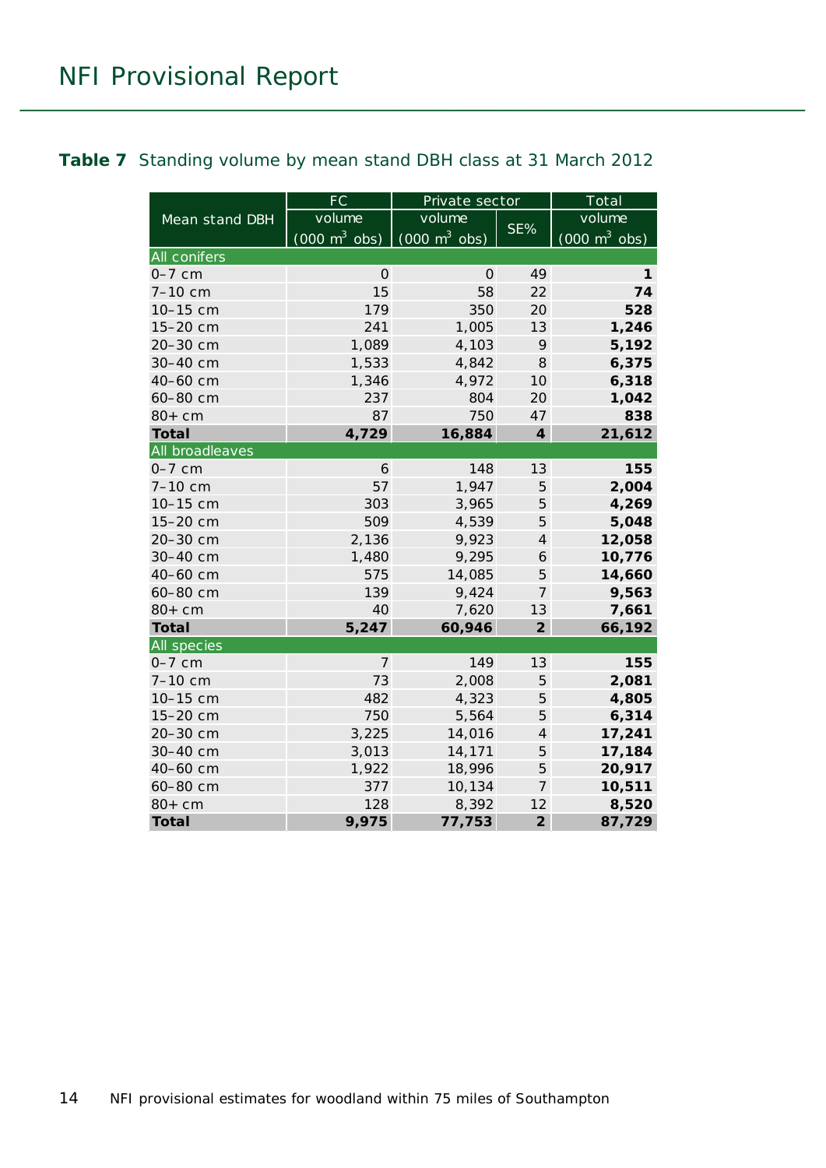#### <span id="page-13-0"></span>**Table 7** Standing volume by mean stand DBH class at 31 March 2012

|                     | $\overline{\mathsf{FC}}$        | Private sector                             |                             | Total                           |
|---------------------|---------------------------------|--------------------------------------------|-----------------------------|---------------------------------|
| Mean stand DBH      | volume                          | volume                                     |                             | volume                          |
|                     | $(000 \text{ m}^3 \text{ obs})$ | $\overline{(000 \text{ m}^3 \text{ obs})}$ | SE%                         | $(000 \text{ m}^3 \text{ obs})$ |
| <b>All conifers</b> |                                 |                                            |                             |                                 |
| $0-7$ cm            | 0                               | 0                                          | 49                          | 1                               |
| 7-10 cm             | 15                              | 58                                         | 22                          | 74                              |
| 10-15 cm            | 179                             | 350                                        | 20                          | 528                             |
| 15-20 cm            | 241                             | 1,005                                      | 13                          | 1,246                           |
| 20-30 cm            | 1,089                           | 4,103                                      | 9                           | 5,192                           |
| 30-40 cm            | 1,533                           | 4,842                                      | 8                           | 6,375                           |
| 40-60 cm            | 1,346                           | 4,972                                      | 10                          | 6,318                           |
| 60-80 cm            | 237                             | 804                                        | 20                          | 1,042                           |
| $80+cm$             | 87                              | 750                                        | 47                          | 838                             |
| <b>Total</b>        | 4,729                           | 16,884                                     | $\overline{\boldsymbol{4}}$ | 21,612                          |
| All broadleaves     |                                 |                                            |                             |                                 |
| $0-7$ cm            | 6                               | 148                                        | 13                          | 155                             |
| 7-10 cm             | 57                              | 1,947                                      | 5                           | 2,004                           |
| 10-15 cm            | 303                             | 3,965                                      | 5                           | 4,269                           |
| 15-20 cm            | 509                             | 4,539                                      | 5                           | 5,048                           |
| 20-30 cm            | 2,136                           | 9,923                                      | $\overline{4}$              | 12,058                          |
| 30-40 cm            | 1,480                           | 9,295                                      | 6                           | 10,776                          |
| 40-60 cm            | 575                             | 14,085                                     | 5                           | 14,660                          |
| 60-80 cm            | 139                             | 9,424                                      | 7                           | 9,563                           |
| $80+cm$             | 40                              | 7,620                                      | 13                          | 7,661                           |
| <b>Total</b>        | 5,247                           | 60,946                                     | $\overline{2}$              | 66,192                          |
| All species         |                                 |                                            |                             |                                 |
| $0-7$ cm            | 7                               | 149                                        | 13                          | 155                             |
| 7-10 cm             | 73                              | 2,008                                      | 5                           | 2,081                           |
| 10-15 cm            | 482                             | 4,323                                      | 5                           | 4,805                           |
| 15-20 cm            | 750                             | 5,564                                      | 5                           | 6,314                           |
| 20-30 cm            | 3,225                           | 14,016                                     | $\overline{4}$              | 17,241                          |
| 30-40 cm            | 3,013                           | 14,171                                     | 5                           | 17,184                          |
| 40-60 cm            | 1,922                           | 18,996                                     | 5                           | 20,917                          |
| 60-80 cm            | 377                             | 10,134                                     | 7                           | 10,511                          |
| $80+cm$             | 128                             | 8,392                                      | 12                          | 8,520                           |
| <b>Total</b>        | 9,975                           | 77,753                                     | $\overline{2}$              | 87,729                          |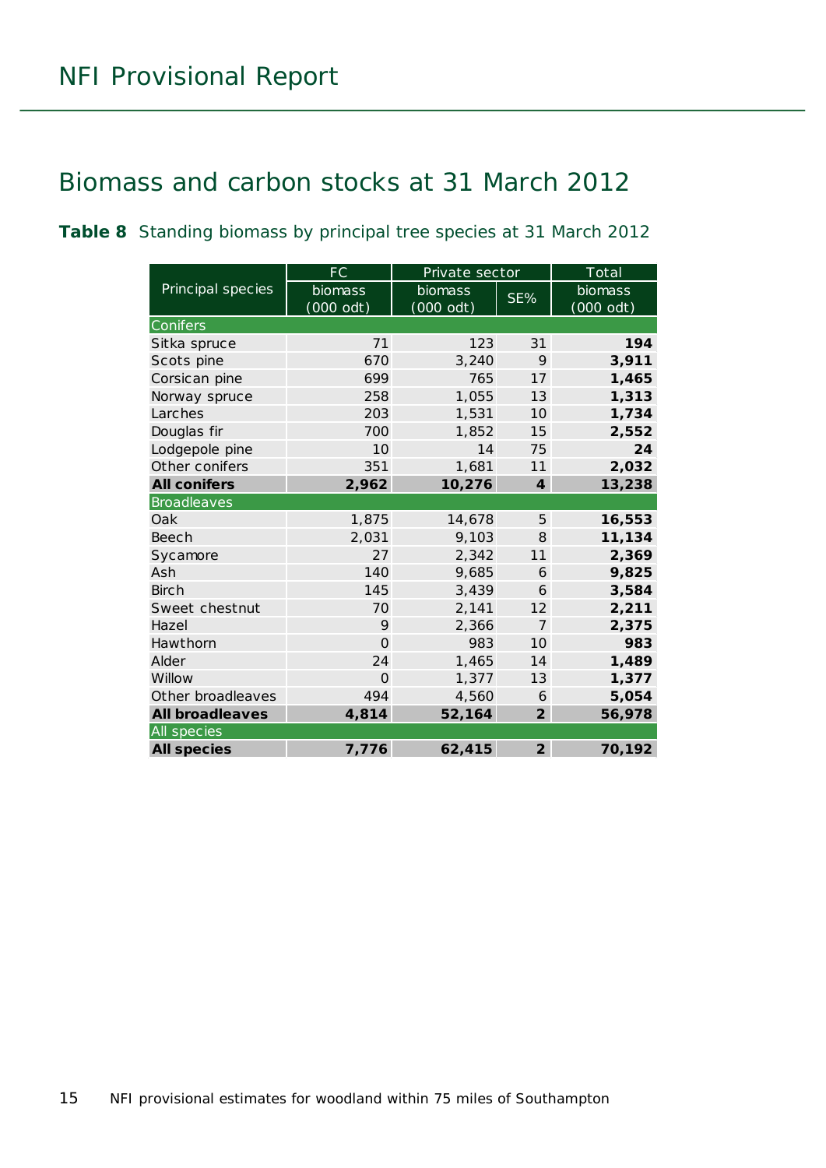### <span id="page-14-0"></span>Biomass and carbon stocks at 31 March 2012

<span id="page-14-1"></span>**Table 8** Standing biomass by principal tree species at 31 March 2012

|                        | FC        | Private sector |                  | Total     |
|------------------------|-----------|----------------|------------------|-----------|
| Principal species      | biomass   | biomass        | SE%              | biomass   |
|                        | (000 odt) | $(000$ odt)    |                  | (000 odt) |
| Conifers               |           |                |                  |           |
| Sitka spruce           | 71        | 123            | 31               | 194       |
| Scots pine             | 670       | 3,240          | 9                | 3,911     |
| Corsican pine          | 699       | 765            | 17               | 1,465     |
| Norway spruce          | 258       | 1,055          | 13               | 1,313     |
| Larches                | 203       | 1,531          | 10 <sup>2</sup>  | 1,734     |
| Douglas fir            | 700       | 1,852          | 15               | 2,552     |
| Lodgepole pine         | 10        | 14             | 75               | 24        |
| Other conifers         | 351       | 1,681          | 11               | 2,032     |
| <b>All conifers</b>    | 2,962     | 10,276         | $\boldsymbol{4}$ | 13,238    |
| <b>Broadleaves</b>     |           |                |                  |           |
| Oak                    | 1,875     | 14,678         | 5                | 16,553    |
| <b>Beech</b>           | 2,031     | 9,103          | 8                | 11,134    |
| Sycamore               | 27        | 2,342          | 11               | 2,369     |
| Ash                    | 140       | 9,685          | 6                | 9,825     |
| <b>Birch</b>           | 145       | 3,439          | 6                | 3,584     |
| Sweet chestnut         | 70        | 2,141          | 12               | 2,211     |
| Hazel                  | 9         | 2,366          | $\overline{7}$   | 2,375     |
| Hawthorn               | $\Omega$  | 983            | 10 <sup>1</sup>  | 983       |
| Alder                  | 24        | 1,465          | 14               | 1,489     |
| Willow                 | $\Omega$  | 1,377          | 13               | 1,377     |
| Other broadleaves      | 494       | 4,560          | 6                | 5,054     |
| <b>All broadleaves</b> | 4,814     | 52,164         | $\overline{2}$   | 56,978    |
| All species            |           |                |                  |           |
| <b>All species</b>     | 7,776     | 62,415         | $\overline{2}$   | 70,192    |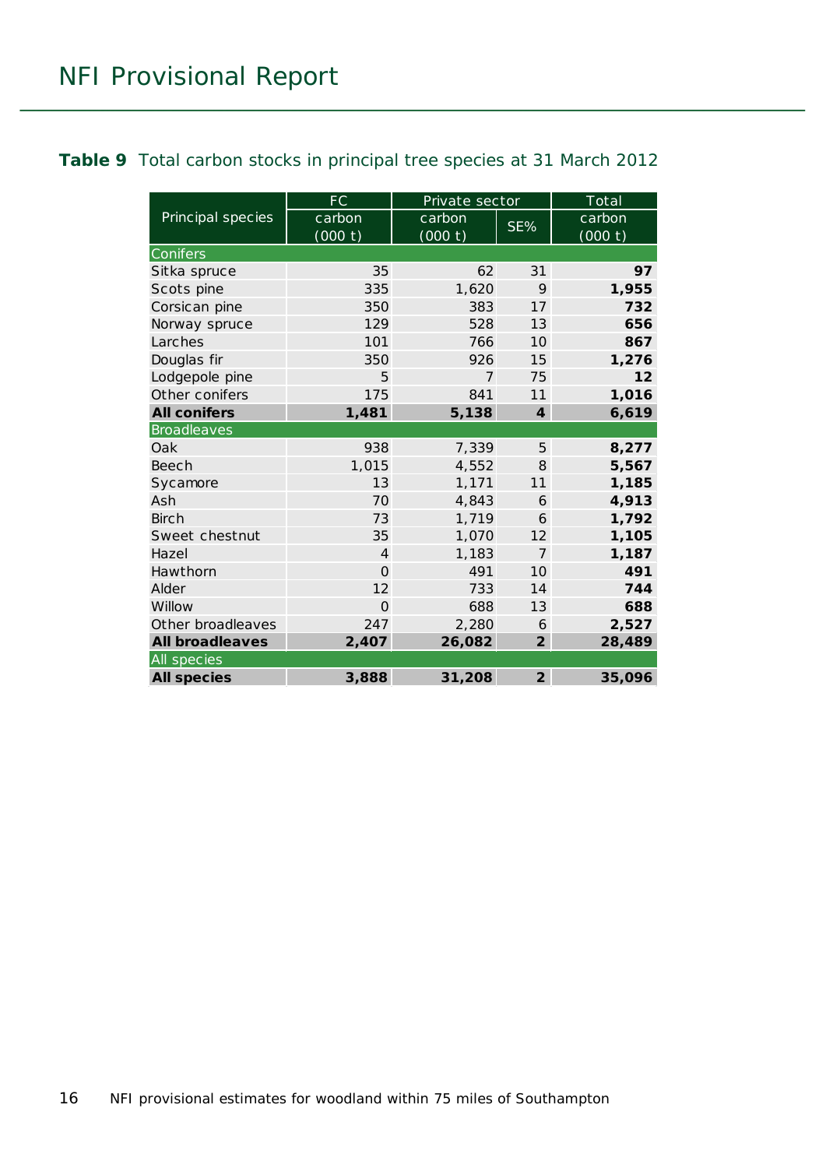#### <span id="page-15-0"></span>**Table 9** Total carbon stocks in principal tree species at 31 March 2012

|                        | FC             | Private sector |                 | Total   |  |  |
|------------------------|----------------|----------------|-----------------|---------|--|--|
| Principal species      | carbon         | carbon         | SE%             | carbon  |  |  |
|                        | (000 t)        | (000 t)        |                 | (000 t) |  |  |
| Conifers               |                |                |                 |         |  |  |
| Sitka spruce           | 35             | 62             | 31              | 97      |  |  |
| Scots pine             | 335            | 1,620          | 9               | 1,955   |  |  |
| Corsican pine          | 350            | 383            | 17              | 732     |  |  |
| Norway spruce          | 129            | 528            | 13              | 656     |  |  |
| Larches                | 101            | 766            | 10 <sup>2</sup> | 867     |  |  |
| Douglas fir            | 350            | 926            | 15              | 1,276   |  |  |
| Lodgepole pine         | 5              | $\overline{7}$ | 75              | 12      |  |  |
| Other conifers         | 175            | 841            | 11              | 1,016   |  |  |
| <b>All conifers</b>    | 1,481          | 5,138          | $\overline{4}$  | 6,619   |  |  |
| <b>Broadleaves</b>     |                |                |                 |         |  |  |
| Oak                    | 938            | 7,339          | 5               | 8,277   |  |  |
| <b>Beech</b>           | 1,015          | 4,552          | 8               | 5,567   |  |  |
| Sycamore               | 13             | 1,171          | 11              | 1,185   |  |  |
| Ash                    | 70             | 4,843          | 6               | 4,913   |  |  |
| <b>Birch</b>           | 73             | 1,719          | 6               | 1,792   |  |  |
| Sweet chestnut         | 35             | 1,070          | 12              | 1,105   |  |  |
| Hazel                  | $\overline{4}$ | 1,183          | $\overline{7}$  | 1,187   |  |  |
| Hawthorn               | $\Omega$       | 491            | 10 <sup>2</sup> | 491     |  |  |
| Alder                  | 12             | 733            | 14              | 744     |  |  |
| Willow                 | $\Omega$       | 688            | 13              | 688     |  |  |
| Other broadleaves      | 247            | 2,280          | 6               | 2,527   |  |  |
| <b>All broadleaves</b> | 2,407          | 26,082         | $\overline{2}$  | 28,489  |  |  |
| All species            |                |                |                 |         |  |  |
| <b>All species</b>     | 3,888          | 31,208         | $\overline{2}$  | 35,096  |  |  |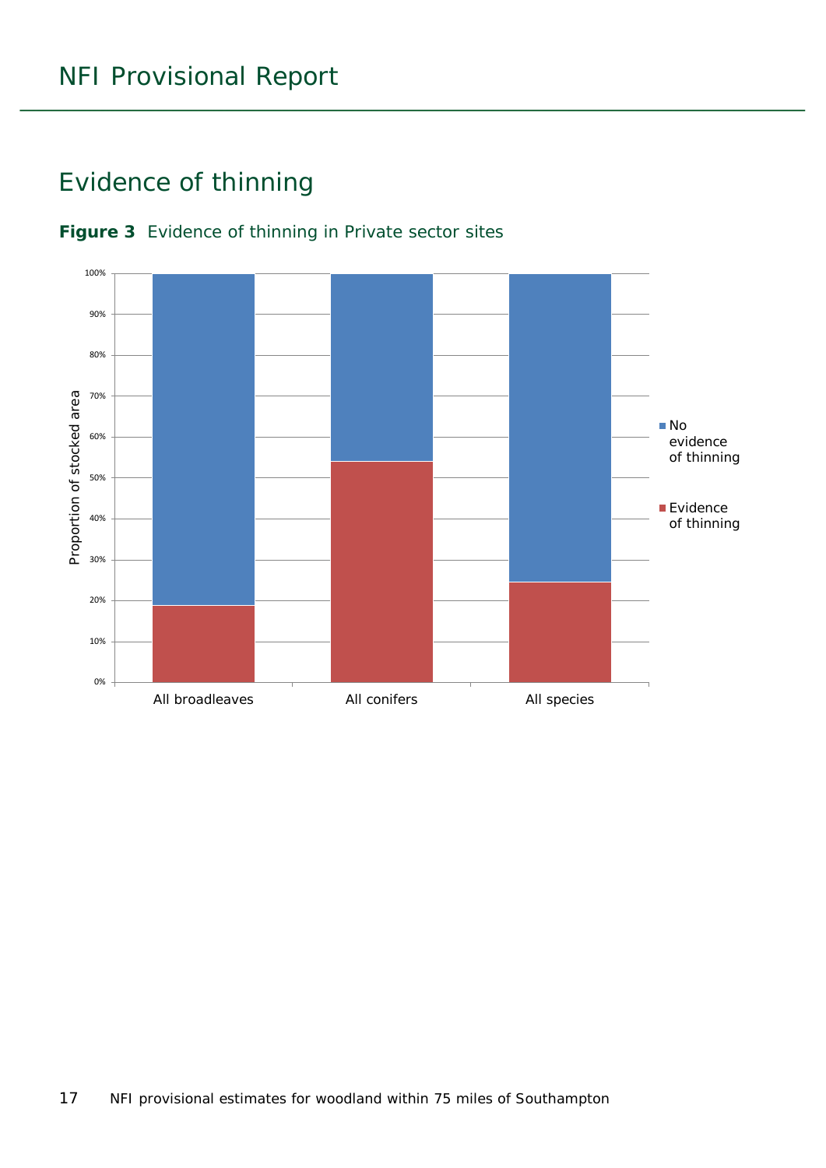### <span id="page-16-0"></span>Evidence of thinning



#### <span id="page-16-1"></span>**Figure 3** Evidence of thinning in Private sector sites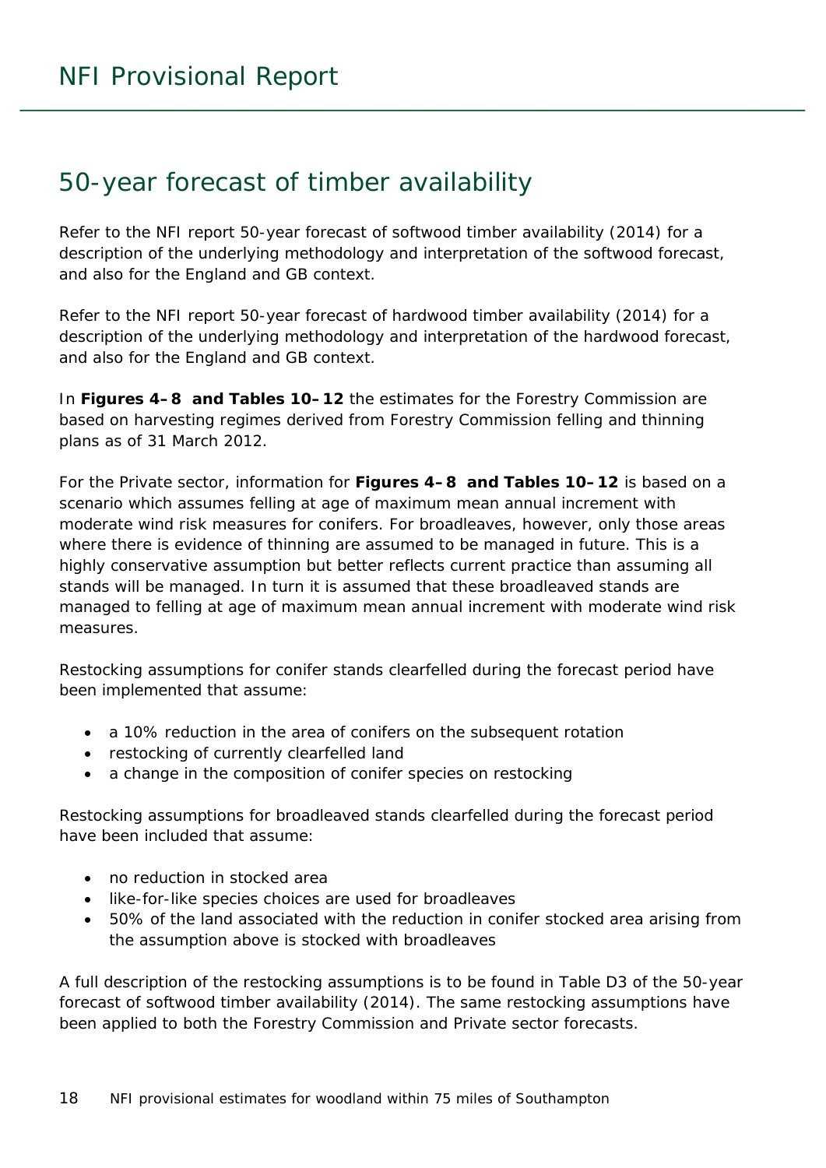### <span id="page-17-0"></span>50-year forecast of timber availability

Refer to the NFI report *50-year forecast of softwood timber availability* (2014) for a description of the underlying methodology and interpretation of the softwood forecast, and also for the England and GB context.

Refer to the NFI report *50-year forecast of hardwood timber availability* (2014) for a description of the underlying methodology and interpretation of the hardwood forecast, and also for the England and GB context.

In **Figures 4–8 and Tables 10–12** the estimates for the Forestry Commission are based on harvesting regimes derived from Forestry Commission felling and thinning plans as of 31 March 2012.

For the Private sector, information for **Figures 4–8 and Tables 10–12** is based on a scenario which assumes felling at age of maximum mean annual increment with moderate wind risk measures for conifers. For broadleaves, however, only those areas where there is evidence of thinning are assumed to be managed in future. This is a highly conservative assumption but better reflects current practice than assuming all stands will be managed. In turn it is assumed that these broadleaved stands are managed to felling at age of maximum mean annual increment with moderate wind risk measures.

Restocking assumptions for conifer stands clearfelled during the forecast period have been implemented that assume:

- a 10% reduction in the area of conifers on the subsequent rotation
- restocking of currently clearfelled land
- a change in the composition of conifer species on restocking

Restocking assumptions for broadleaved stands clearfelled during the forecast period have been included that assume:

- no reduction in stocked area
- like-for-like species choices are used for broadleaves
- 50% of the land associated with the reduction in conifer stocked area arising from the assumption above is stocked with broadleaves

A full description of the restocking assumptions is to be found in Table D3 of the *50-year forecast of softwood timber availability* (2014). The same restocking assumptions have been applied to both the Forestry Commission and Private sector forecasts.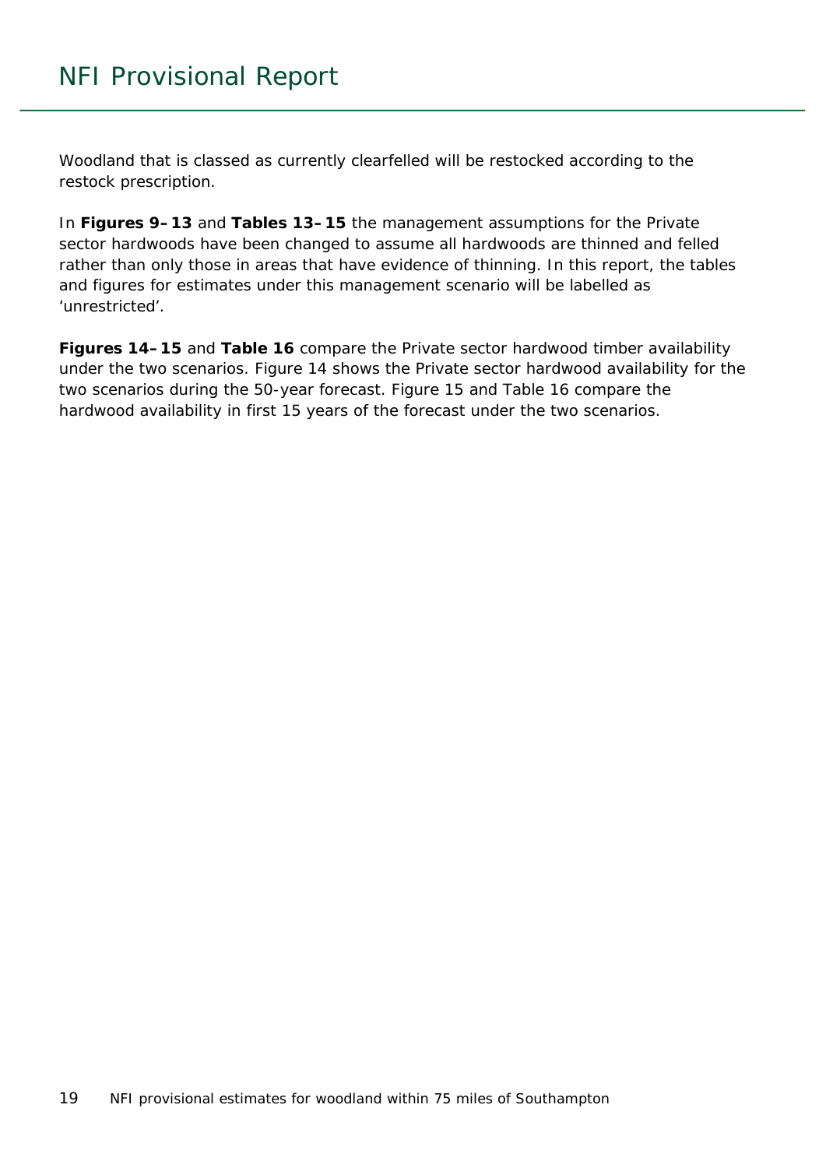Woodland that is classed as currently clearfelled will be restocked according to the restock prescription.

In **Figures 9–13** and **Tables 13–15** the management assumptions for the Private sector hardwoods have been changed to assume all hardwoods are thinned and felled rather than only those in areas that have evidence of thinning. In this report, the tables and figures for estimates under this management scenario will be labelled as 'unrestricted'.

**Figures 14–15** and **Table 16** compare the Private sector hardwood timber availability under the two scenarios. Figure 14 shows the Private sector hardwood availability for the two scenarios during the 50-year forecast. Figure 15 and Table 16 compare the hardwood availability in first 15 years of the forecast under the two scenarios.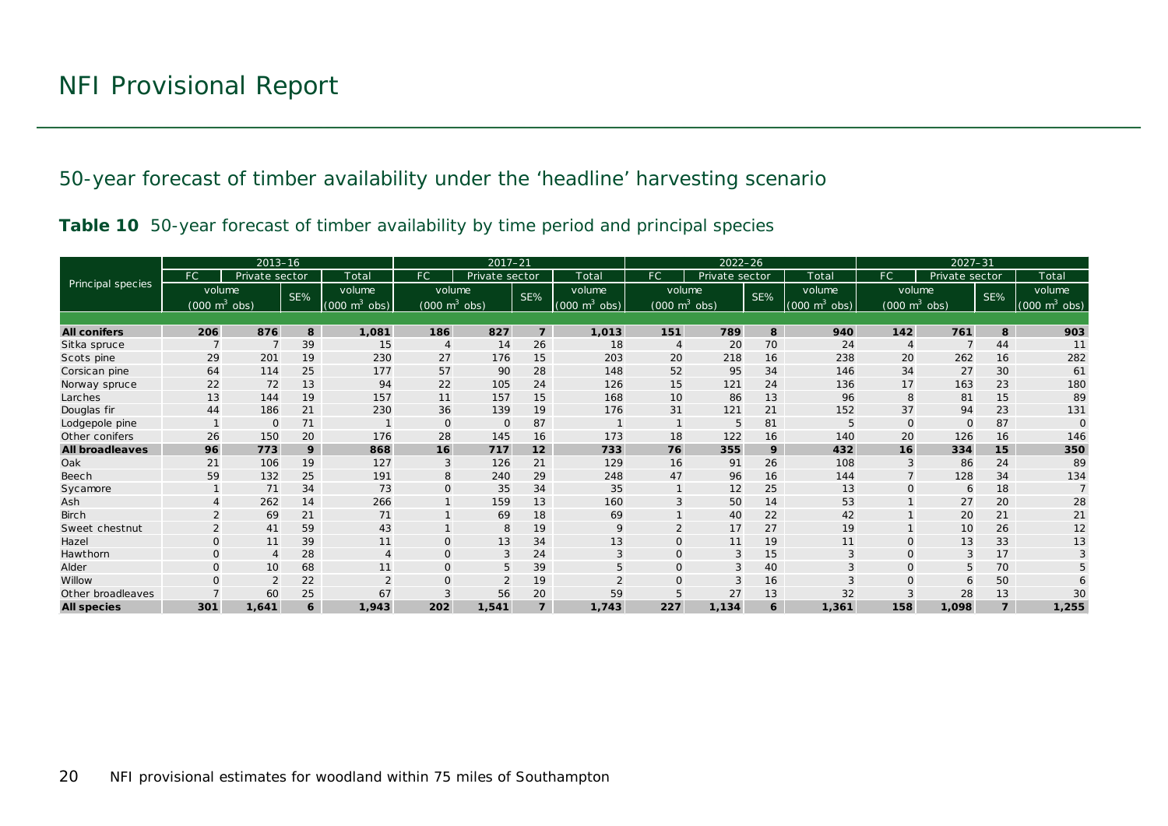50-year forecast of timber availability under the 'headline' harvesting scenario

|  |  | Table 10 50-year forecast of timber availability by time period and principal species |  |  |
|--|--|---------------------------------------------------------------------------------------|--|--|
|  |  |                                                                                       |  |  |

<span id="page-19-1"></span><span id="page-19-0"></span>

|                        |                                     | $2013 - 16$    |     |                                 | $2017 - 21$                     |                |                | $2022 - 26$                 |                                 |                |     | $2027 - 31$                     |                                 |                |                |                                 |
|------------------------|-------------------------------------|----------------|-----|---------------------------------|---------------------------------|----------------|----------------|-----------------------------|---------------------------------|----------------|-----|---------------------------------|---------------------------------|----------------|----------------|---------------------------------|
|                        | FC.                                 | Private sector |     | Total                           | FC                              | Private sector |                | Total                       | FC.                             | Private sector |     | Total                           | FC.                             | Private sector |                | Total                           |
| Principal species      | volume                              |                | SE% | volume                          | volume                          |                | SE%            | volume                      | volume                          |                | SE% | volume                          | volume                          |                | SE%            | volume                          |
|                        | $(000 \; \text{m}^3 \; \text{obs})$ |                |     | $(000 \text{ m}^3 \text{ obs})$ | $(000 \text{ m}^3 \text{ obs})$ |                |                | $(000 \text{ m}^3)$<br>obs) | $(000 \text{ m}^3 \text{ obs})$ |                |     | $(000 \text{ m}^3 \text{ obs})$ | $(000 \text{ m}^3 \text{ obs})$ |                |                | $(000 \text{ m}^3 \text{ obs})$ |
|                        |                                     |                |     |                                 |                                 |                |                |                             |                                 |                |     |                                 |                                 |                |                |                                 |
| <b>All conifers</b>    | 206                                 | 876            | 8   | 1,081                           | 186                             | 827            | $\overline{7}$ | 1,013                       | 151                             | 789            | 8   | 940                             | 142                             | 761            | 8              | 903                             |
| Sitka spruce           | $\overline{7}$                      |                | 39  | 15                              | $\overline{4}$                  | 14             | 26             | 18                          | $\overline{4}$                  | 20             | 70  | 24                              | $\overline{4}$                  |                | 44             | 11                              |
| Scots pine             | 29                                  | 201            | 19  | 230                             | 27                              | 176            | 15             | 203                         | 20                              | 218            | 16  | 238                             | 20                              | 262            | 16             | 282                             |
| Corsican pine          | 64                                  | 114            | 25  | 177                             | 57                              | 90             | 28             | 148                         | 52                              | 95             | 34  | 146                             | 34                              | 27             | 30             | 61                              |
| Norway spruce          | 22                                  | 72             | 13  | 94                              | 22                              | 105            | 24             | 126                         | 15                              | 121            | 24  | 136                             | 17                              | 163            | 23             | 180                             |
| Larches                | 13                                  | 144            | 19  | 157                             | 11                              | 157            | 15             | 168                         | 10                              | 86             | 13  | 96                              | 8                               | 81             | 15             | 89                              |
| Douglas fir            | 44                                  | 186            | 21  | 230                             | 36                              | 139            | 19             | 176                         | 31                              | 121            | 21  | 152                             | 37                              | 94             | 23             | 131                             |
| Lodgepole pine         |                                     | $\Omega$       | 71  |                                 | $\mathbf{O}$                    | $\mathbf 0$    | 87             |                             |                                 | 5              | 81  | 5                               | $\Omega$                        |                | 87             | $\Omega$                        |
| Other conifers         | 26                                  | 150            | 20  | 176                             | 28                              | 145            | 16             | 173                         | 18                              | 122            | 16  | 140                             | 20                              | 126            | 16             | 146                             |
| <b>All broadleaves</b> | 96                                  | 773            | 9   | 868                             | 16                              | 717            | 12             | 733                         | 76                              | 355            | 9   | 432                             | 16                              | 334            | 15             | 350                             |
| Oak                    | 21                                  | 106            | 19  | 127                             | 3                               | 126            | 21             | 129                         | 16                              | 91             | 26  | 108                             | 3                               | 86             | 24             | 89                              |
| Beech                  | 59                                  | 132            | 25  | 191                             | 8                               | 240            | 29             | 248                         | 47                              | 96             | 16  | 144                             |                                 | 128            | 34             | 134                             |
| Sycamore               |                                     | 71             | 34  | 73                              | $\mathbf{O}$                    | 35             | 34             | 35                          |                                 | 12             | 25  | 13                              | $\Omega$                        | 6              | 18             |                                 |
| Ash                    |                                     | 262            | 14  | 266                             |                                 | 159            | 13             | 160                         |                                 | 50             | 14  | 53                              |                                 | 27             | 20             | 28                              |
| <b>Birch</b>           |                                     | 69             | 21  | 71                              |                                 | 69             | 18             | 69                          |                                 | 40             | 22  | 42                              |                                 | 20             | 21             | 21                              |
| Sweet chestnut         | $\overline{2}$                      | 41             | 59  | 43                              |                                 | 8              | 19             | 9                           | $\overline{2}$                  | 17             | 27  | 19                              |                                 | 10             | 26             | 12                              |
| Hazel                  | $\Omega$                            | 11             | 39  | 11                              | $\Omega$                        | 13             | 34             | 13                          | $\Omega$                        | 11             | 19  | 11                              | $\Omega$                        | 13             | 33             | 13                              |
| Hawthorn               | $\Omega$                            | $\overline{4}$ | 28  | $\overline{4}$                  | $\mathbf{O}$                    | 3              | 24             | 3                           |                                 | 3              | 15  | 3                               | $\Omega$                        |                | 17             |                                 |
| Alder                  | $\Omega$                            | 10             | 68  | 11                              | $\Omega$                        | 5              | 39             | 5                           | $\Omega$                        | 3              | 40  |                                 | $\Omega$                        |                | 70             |                                 |
| Willow                 | $\Omega$                            |                | 22  | $\Omega$                        | $\Omega$                        | $\overline{2}$ | 19             | $\overline{2}$              |                                 | 3              | 16  |                                 | $\Omega$                        | 6              | 50             |                                 |
| Other broadleaves      |                                     | 60             | 25  | 67                              | 3                               | 56             | 20             | 59                          |                                 | 27             | 13  | 32                              |                                 | 28             | 13             | 30                              |
| <b>All species</b>     | 301                                 | 1,641          | 6   | 1,943                           | 202                             | 1,541          | $\overline{z}$ | 1,743                       | 227                             | 1,134          | 6   | 1,361                           | 158                             | 1,098          | $\overline{z}$ | 1,255                           |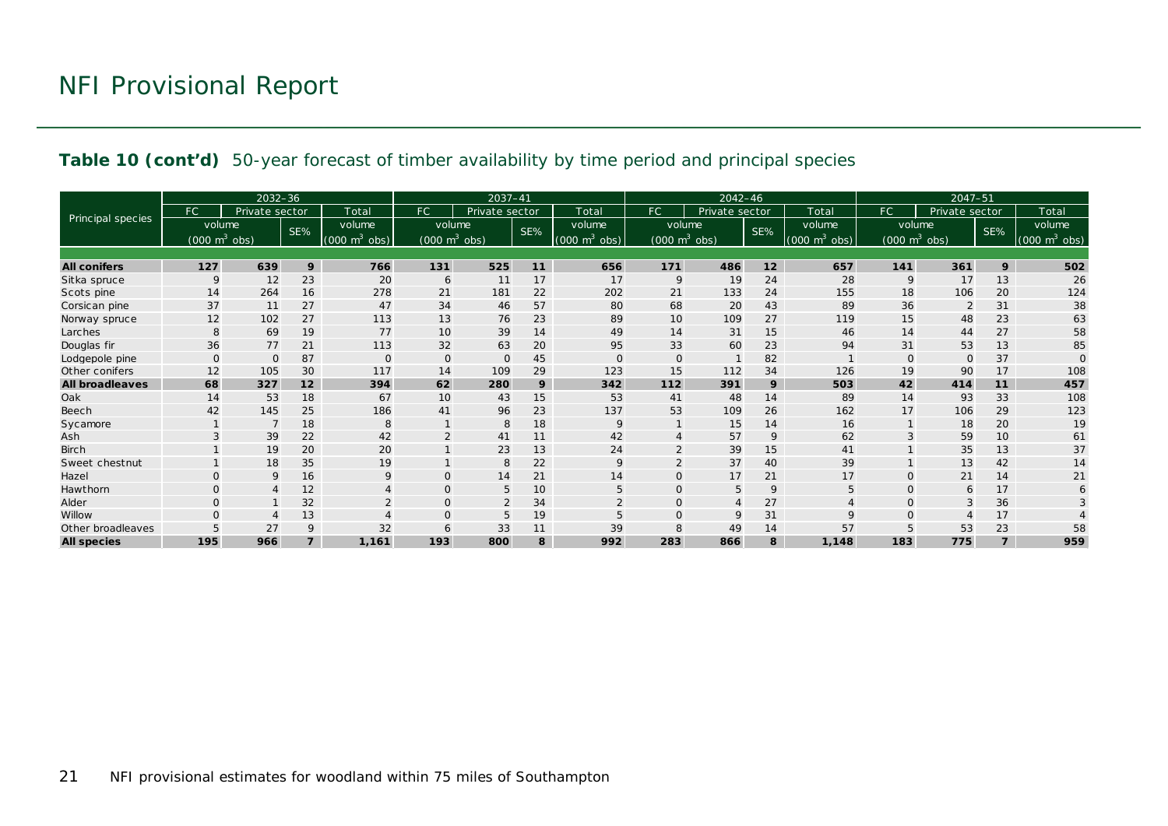#### **Table 10 (cont'd)** 50-year forecast of timber availability by time period and principal species

|                        |                                     | $2032 - 36$    |                |                                 | 2037-41<br>$2042 - 46$          |                |                 | $2047 - 51$                 |                                 |                |     |                           |                                     |                |     |                                 |
|------------------------|-------------------------------------|----------------|----------------|---------------------------------|---------------------------------|----------------|-----------------|-----------------------------|---------------------------------|----------------|-----|---------------------------|-------------------------------------|----------------|-----|---------------------------------|
|                        | FC.                                 | Private sector |                | Total                           | FC                              | Private sector |                 | Total                       | FC.                             | Private sector |     | Total                     | FC                                  | Private sector |     | Total                           |
| Principal species      | volume                              |                | SE%            | volume                          | volume                          |                | SE%             | volume                      | volume                          |                | SE% | volume                    | volume                              |                | SE% | volume                          |
|                        | $(000 \; \text{m}^3 \; \text{obs})$ |                |                | $(000 \text{ m}^3 \text{ obs})$ | $(000 \text{ m}^3 \text{ obs})$ |                |                 | $(000 \text{ m}^3)$<br>obs) | $(000 \text{ m}^3 \text{ obs})$ |                |     | (000)<br>$m^3$<br>$\cosh$ | $(000 \; \text{m}^3 \; \text{obs})$ |                |     | $(000 \text{ m}^3 \text{ obs})$ |
|                        |                                     |                |                |                                 |                                 |                |                 |                             |                                 |                |     |                           |                                     |                |     |                                 |
| <b>All conifers</b>    | 127                                 | 639            | 9              | 766                             | 131                             | 525            | 11              | 656                         | 171                             | 486            | 12  | 657                       | 141                                 | 361            | 9   | 502                             |
| Sitka spruce           | 9                                   | 12             | 23             | 20                              | 6                               | 11             | 17              | 17                          | 9                               | 19             | 24  | 28                        | 9                                   | 17             | 13  | 26                              |
| Scots pine             | 14                                  | 264            | 16             | 278                             | 21                              | 181            | 22              | 202                         | 21                              | 133            | 24  | 155                       | 18                                  | 106            | 20  | 124                             |
| Corsican pine          | 37                                  | 11             | 27             | 47                              | 34                              | 46             | 57              | 80                          | 68                              | 20             | 43  | 89                        | 36                                  | $\overline{2}$ | 31  | 38                              |
| Norway spruce          | 12                                  | 102            | 27             | 113                             | 13                              | 76             | 23              | 89                          | 10                              | 109            | 27  | 119                       | 15                                  | 48             | 23  | 63                              |
| Larches                | 8                                   | 69             | 19             | 77                              | 10                              | 39             | 14              | 49                          | 14                              | 31             | 15  | 46                        | 14                                  | 44             | 27  | 58                              |
| Douglas fir            | 36                                  | 77             | 21             | 113                             | 32                              | 63             | 20              | 95                          | 33                              | 60             | 23  | 94                        | 31                                  | 53             | 13  | 85                              |
| Lodgepole pine         | $\mathbf{O}$                        | $\Omega$       | 87             | $\mathbf 0$                     | $\mathbf{0}$                    | $\circ$        | 45              | $\mathbf{O}$                | $\Omega$                        |                | 82  |                           | $\Omega$                            | $\Omega$       | 37  | $\Omega$                        |
| Other conifers         | 12                                  | 105            | 30             | 117                             | 14                              | 109            | 29              | 123                         | 15                              | 112            | 34  | 126                       | 19                                  | 90             | 17  | 108                             |
| <b>All broadleaves</b> | 68                                  | 327            | 12             | 394                             | 62                              | 280            | 9               | 342                         | 112                             | 391            | 9   | 503                       | 42                                  | 414            | 11  | 457                             |
| Oak                    | 14                                  | 53             | 18             | 67                              | 10                              | 43             | 15              | 53                          | 41                              | 48             | 14  | 89                        | 14                                  | 93             | 33  | 108                             |
| Beech                  | 42                                  | 145            | 25             | 186                             | 41                              | 96             | 23              | 137                         | 53                              | 109            | 26  | 162                       | 17                                  | 106            | 29  | 123                             |
| Sycamore               |                                     |                | 18             | 8                               |                                 | 8              | 18              | 9                           |                                 | 15             | 14  | 16                        |                                     | 18             | 20  | 19                              |
| Ash                    |                                     | 39             | 22             | 42                              | $\overline{2}$                  | 41             | 11              | 42                          |                                 | 57             | 9   | 62                        | $\mathbf{z}$                        | 59             | 10  | 61                              |
| Birch                  |                                     | 19             | 20             | 20                              |                                 | 23             | 13              | 24                          |                                 | 39             | 15  | 41                        |                                     | 35             | 13  | 37                              |
| Sweet chestnut         |                                     | 18             | 35             | 19                              |                                 | 8              | 22              | 9                           |                                 | 37             | 40  | 39                        |                                     | 13             | 42  | 14                              |
| Hazel                  | $\Omega$                            | 9              | 16             | 9                               | $\mathbf{O}$                    | 14             | 21              | 14                          |                                 | 17             | 21  | 17                        | $\Omega$                            | 21             | 14  | 21                              |
| Hawthorn               | $\Omega$                            | $\overline{4}$ | 12             |                                 | $\mathbf{O}$                    | 5              | 10 <sup>°</sup> | 5                           | $\Omega$                        | 5              | 9   | 5                         | $\mathbf 0$                         | 6              | 17  | 6                               |
| Alder                  | $\Omega$                            |                | 32             |                                 | $\mathbf{O}$                    | $\overline{2}$ | 34              |                             |                                 | $\overline{A}$ | 27  |                           | $\Omega$                            |                | 36  |                                 |
| Willow                 |                                     | Δ              | 13             |                                 | $\mathbf{O}$                    | 5              | 19              | 5                           | $\Omega$                        | 9              | 31  | $\mathsf Q$               | $\Omega$                            |                | 17  |                                 |
| Other broadleaves      |                                     | 27             | 9              | 32                              | 6                               | 33             | 11              | 39                          |                                 | 49             | 14  | 57                        |                                     | 53             | 23  | 58                              |
| <b>All species</b>     | 195                                 | 966            | $\overline{7}$ | 1.161                           | 193                             | 800            | 8               | 992                         | 283                             | 866            | 8   | 1.148                     | 183                                 | 775            |     | 959                             |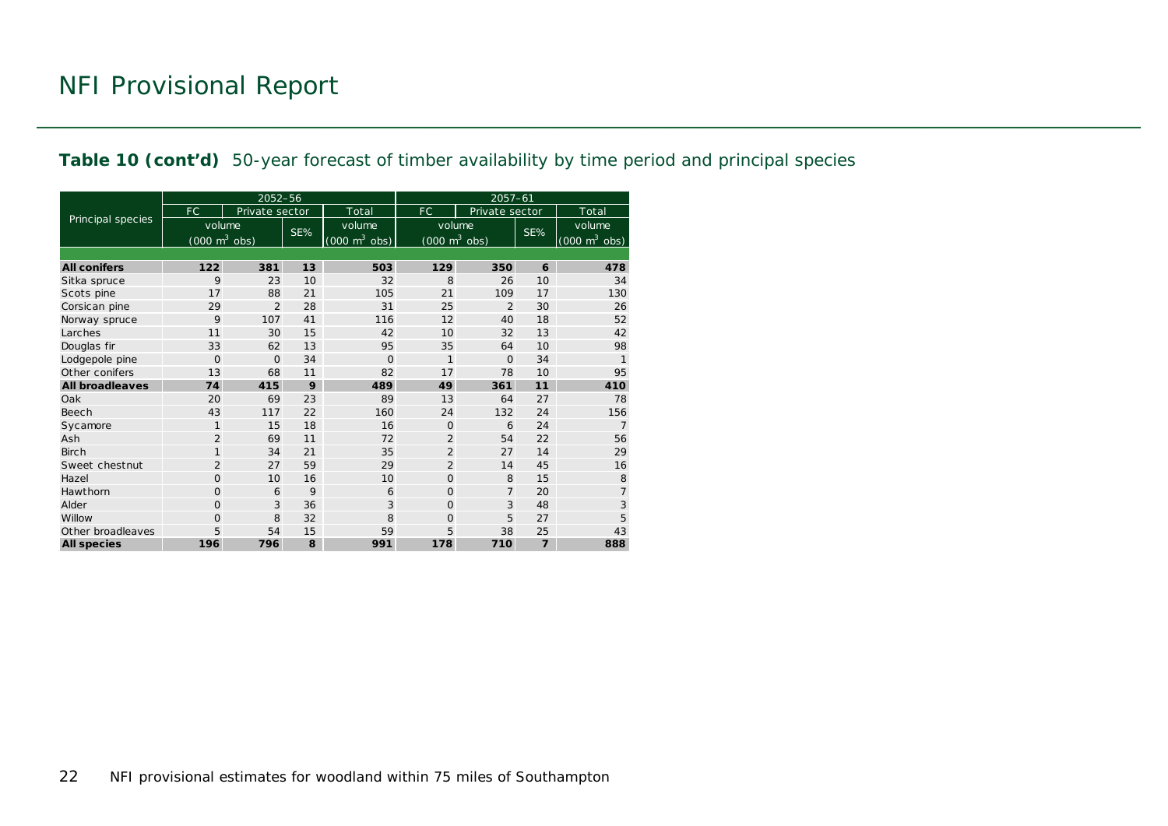#### **Table 10 (cont'd)** 50-year forecast of timber availability by time period and principal species

|                        |                                     | 2052-56        |     |                                 | $2057 - 61$                         |                |                |                                     |  |  |
|------------------------|-------------------------------------|----------------|-----|---------------------------------|-------------------------------------|----------------|----------------|-------------------------------------|--|--|
|                        | FC.                                 | Private sector |     | Total                           | FC.                                 | Private sector |                | Total                               |  |  |
| Principal species      | volume                              |                | SE% | volume                          | volume                              |                | SE%            | volume                              |  |  |
|                        | $(000 \; \text{m}^3 \; \text{obs})$ |                |     | $(000 \text{ m}^3 \text{ obs})$ | $(000 \; \text{m}^3 \; \text{obs})$ |                |                | $(000 \; \text{m}^3 \; \text{obs})$ |  |  |
|                        |                                     |                |     |                                 |                                     |                |                |                                     |  |  |
| <b>All conifers</b>    | 122                                 | 381            | 13  | 503                             | 129                                 | 350            | 6              | 478                                 |  |  |
| Sitka spruce           | 9                                   | 23             | 10  | 32                              | 8                                   | 26             | 10             | 34                                  |  |  |
| Scots pine             | 17                                  | 88             | 21  | 105                             | 21                                  | 109            | 17             | 130                                 |  |  |
| Corsican pine          | 29                                  | $\overline{2}$ | 28  | 31                              | 25                                  | $\overline{2}$ | 30             | 26                                  |  |  |
| Norway spruce          | 9                                   | 107            | 41  | 116                             | 12                                  | 40             | 18             | 52                                  |  |  |
| Larches                | 11                                  | 30             | 15  | 42                              | 10                                  | 32             | 13             | 42                                  |  |  |
| Douglas fir            | 33                                  | 62             | 13  | 95                              | 35                                  | 64             | 10             | 98                                  |  |  |
| Lodgepole pine         | $\overline{O}$                      | $\Omega$       | 34  | $\Omega$                        | $\mathbf{1}$                        | $\Omega$       | 34             | $\mathbf{1}$                        |  |  |
| Other conifers         | 13                                  | 68             | 11  | 82                              | 17                                  | 78             | 10             | 95                                  |  |  |
| <b>All broadleaves</b> | 74                                  | 415            | 9   | 489                             | 49                                  | 361            | 11             | 410                                 |  |  |
| Oak                    | 20                                  | 69             | 23  | 89                              | 13                                  | 64             | 27             | 78                                  |  |  |
| Beech                  | 43                                  | 117            | 22  | 160                             | 24                                  | 132            | 24             | 156                                 |  |  |
| Sycamore               | $\mathbf{1}$                        | 15             | 18  | 16                              | $\Omega$                            | 6              | 24             | $\overline{7}$                      |  |  |
| Ash                    | $\overline{2}$                      | 69             | 11  | 72                              | $\overline{2}$                      | 54             | 22             | 56                                  |  |  |
| <b>Birch</b>           | $\mathbf{1}$                        | 34             | 21  | 35                              | $\overline{2}$                      | 27             | 14             | 29                                  |  |  |
| Sweet chestnut         | $\overline{2}$                      | 27             | 59  | 29                              | $\overline{2}$                      | 14             | 45             | 16                                  |  |  |
| Hazel                  | 0                                   | 10             | 16  | 10                              | 0                                   | 8              | 15             | 8                                   |  |  |
| Hawthorn               | $\Omega$                            | 6              | 9   | 6                               | $\Omega$                            | $\overline{7}$ | 20             | $\overline{7}$                      |  |  |
| Alder                  | 0                                   | 3              | 36  | 3                               | $\Omega$                            | 3              | 48             | 3                                   |  |  |
| Willow                 | $\overline{O}$                      | 8              | 32  | 8                               | $\Omega$                            | 5              | 27             | 5                                   |  |  |
| Other broadleaves      | 5                                   | 54             | 15  | 59                              | 5                                   | 38             | 25             | 43                                  |  |  |
| <b>All species</b>     | 196                                 | 796            | 8   | 991                             | 178                                 | 710            | $\overline{7}$ | 888                                 |  |  |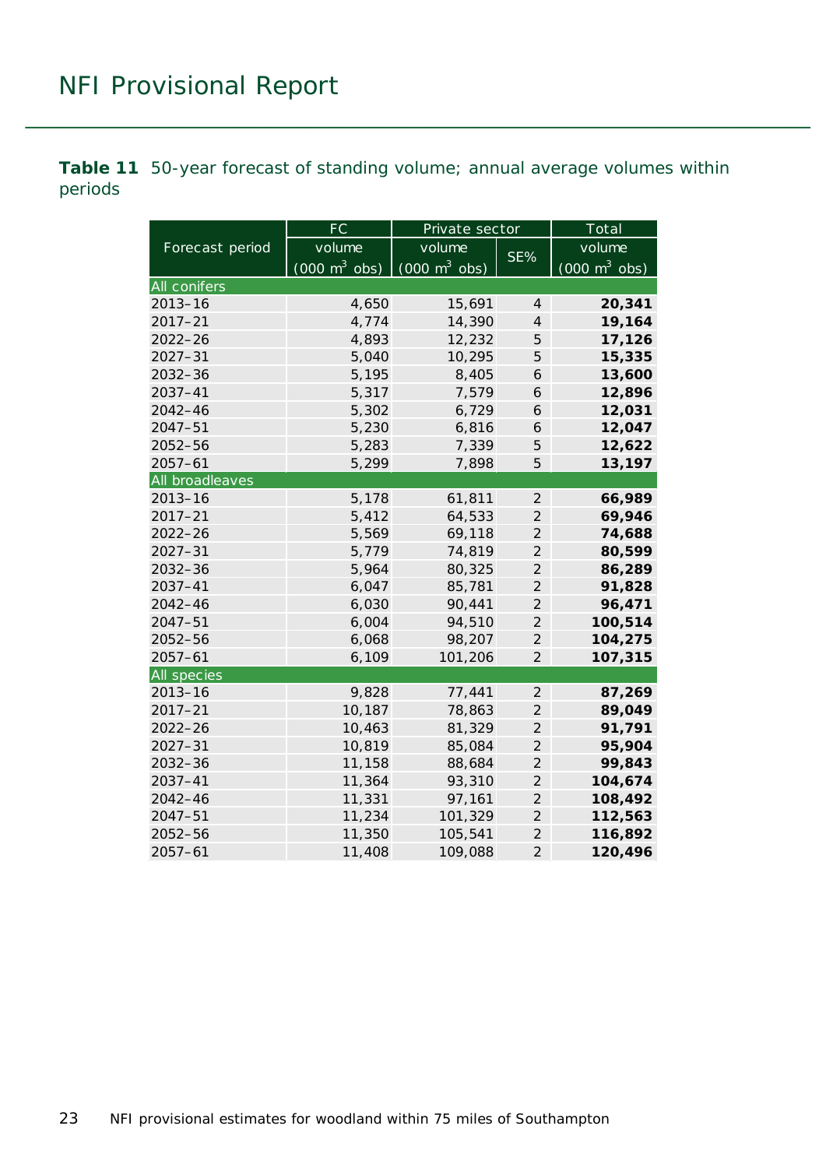<span id="page-22-0"></span>**Table 11** 50-year forecast of standing volume; annual average volumes within periods

|                    | FC                              | Private sector                  |                | Total                           |
|--------------------|---------------------------------|---------------------------------|----------------|---------------------------------|
| Forecast period    | volume                          | volume                          | SE%            | volume                          |
|                    | $(000 \text{ m}^3 \text{ obs})$ | $(000 \text{ m}^3 \text{ obs})$ |                | $(000 \text{ m}^3 \text{ obs})$ |
| All conifers       |                                 |                                 |                |                                 |
| $2013 - 16$        | 4,650                           | 15,691                          | 4              | 20,341                          |
| $2017 - 21$        | 4,774                           | 14,390                          | $\overline{4}$ | 19,164                          |
| $2022 - 26$        | 4,893                           | 12,232                          | 5              | 17,126                          |
| $2027 - 31$        | 5,040                           | 10,295                          | 5              | 15,335                          |
| $2032 - 36$        | 5,195                           | 8,405                           | 6              | 13,600                          |
| 2037-41            | 5,317                           | 7,579                           | 6              | 12,896                          |
| $2042 - 46$        | 5,302                           | 6,729                           | 6              | 12,031                          |
| $2047 - 51$        | 5,230                           | 6,816                           | 6              | 12,047                          |
| $2052 - 56$        | 5,283                           | 7,339                           | 5              | 12,622                          |
| $2057 - 61$        | 5,299                           | 7,898                           | 5              | 13,197                          |
| All broadleaves    |                                 |                                 |                |                                 |
| $2013 - 16$        | 5,178                           | 61,811                          | $\overline{2}$ | 66,989                          |
| $2017 - 21$        | 5,412                           | 64,533                          | $\overline{2}$ | 69,946                          |
| $2022 - 26$        | 5,569                           | 69,118                          | $\overline{2}$ | 74,688                          |
| $2027 - 31$        | 5,779                           | 74,819                          | $\overline{2}$ | 80,599                          |
| $2032 - 36$        | 5,964                           | 80,325                          | $\overline{2}$ | 86,289                          |
| 2037-41            | 6,047                           | 85,781                          | $\overline{2}$ | 91,828                          |
| $2042 - 46$        | 6,030                           | 90,441                          | $\overline{2}$ | 96,471                          |
| $2047 - 51$        | 6,004                           | 94,510                          | $\overline{2}$ | 100,514                         |
| $2052 - 56$        | 6,068                           | 98,207                          | $\overline{2}$ | 104,275                         |
| $2057 - 61$        | 6,109                           | 101,206                         | $\overline{2}$ | 107,315                         |
| <b>All species</b> |                                 |                                 |                |                                 |
| $2013 - 16$        | 9,828                           | 77,441                          | $\overline{2}$ | 87,269                          |
| $2017 - 21$        | 10,187                          | 78,863                          | $\overline{2}$ | 89,049                          |
| $2022 - 26$        | 10,463                          | 81,329                          | $\overline{2}$ | 91,791                          |
| $2027 - 31$        | 10,819                          | 85,084                          | $\overline{2}$ | 95,904                          |
| $2032 - 36$        | 11,158                          | 88,684                          | $\overline{2}$ | 99,843                          |
| 2037-41            | 11,364                          | 93,310                          | $\overline{2}$ | 104,674                         |
| $2042 - 46$        | 11,331                          | 97,161                          | $\overline{c}$ | 108,492                         |
| $2047 - 51$        | 11,234                          | 101,329                         | $\overline{2}$ | 112,563                         |
| 2052-56            | 11,350                          | 105,541                         | $\overline{2}$ | 116,892                         |
| $2057 - 61$        | 11,408                          | 109,088                         | $\overline{2}$ | 120,496                         |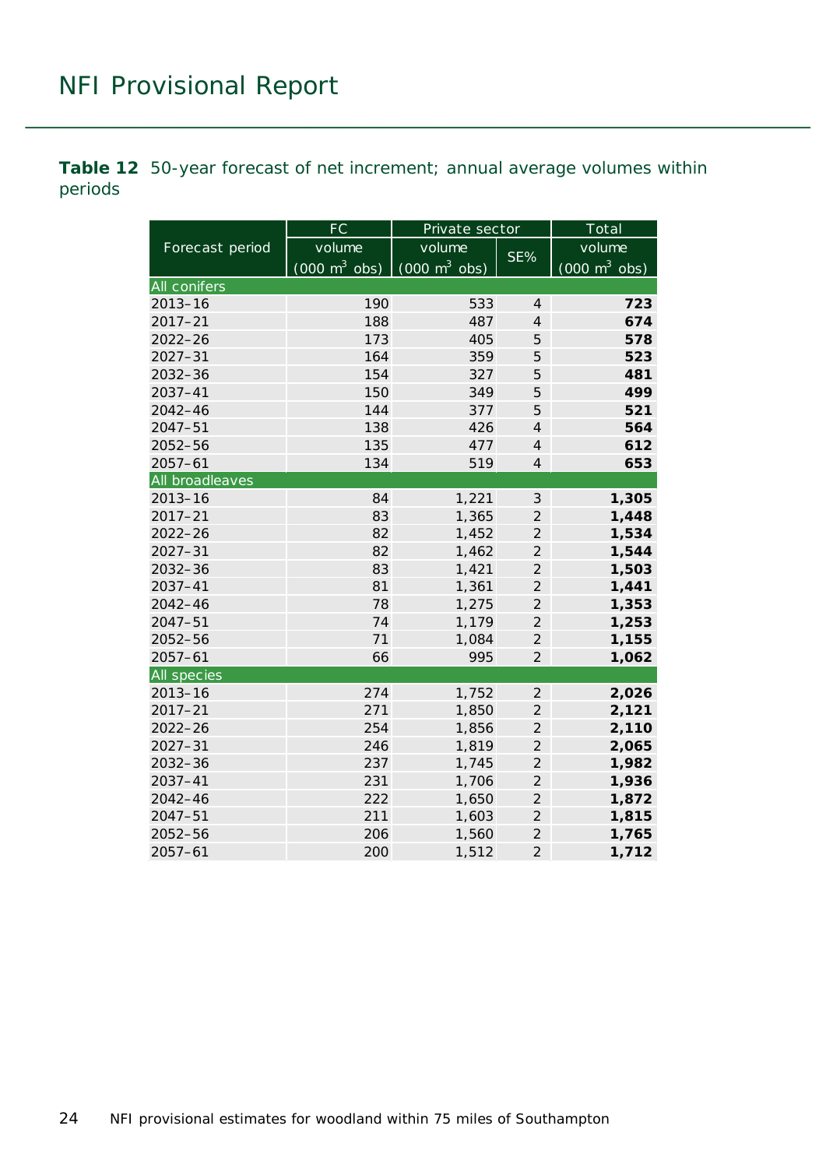<span id="page-23-0"></span>**Table 12** 50-year forecast of net increment; annual average volumes within periods

|                 | FC                              | Private sector                  |                | $\overline{\text{Total}}$       |  |
|-----------------|---------------------------------|---------------------------------|----------------|---------------------------------|--|
| Forecast period | volume                          | volume                          | SE%            | volume                          |  |
|                 | $(000 \text{ m}^3 \text{ obs})$ | $(000 \text{ m}^3 \text{ obs})$ |                | $(000 \text{ m}^3 \text{ obs})$ |  |
| All conifers    |                                 |                                 |                |                                 |  |
| $2013 - 16$     | 190                             | 533                             | $\overline{4}$ | 723                             |  |
| $2017 - 21$     | 188                             | 487                             | $\overline{4}$ | 674                             |  |
| $2022 - 26$     | 173                             | 405                             | 5              | 578                             |  |
| $2027 - 31$     | 164                             | 359                             | 5              | 523                             |  |
| $2032 - 36$     | 154                             | 327                             | 5              | 481                             |  |
| 2037-41         | 150                             | 349                             | 5              | 499                             |  |
| $2042 - 46$     | 144                             | 377                             | 5              | 521                             |  |
| $2047 - 51$     | 138                             | 426                             | $\overline{4}$ | 564                             |  |
| 2052-56         | 135                             | 477                             | $\overline{4}$ | 612                             |  |
| $2057 - 61$     | 134                             | 519                             | $\overline{4}$ | 653                             |  |
| All broadleaves |                                 |                                 |                |                                 |  |
| $2013 - 16$     | 84                              | 1,221                           | $\mathfrak{Z}$ | 1,305                           |  |
| $2017 - 21$     | 83                              | 1,365                           | $\overline{2}$ | 1,448                           |  |
| $2022 - 26$     | 82                              | 1,452                           | $\overline{2}$ | 1,534                           |  |
| $2027 - 31$     | 82                              | 1,462                           | $\overline{2}$ | 1,544                           |  |
| $2032 - 36$     | 83                              | 1,421                           | $\overline{2}$ | 1,503                           |  |
| $2037 - 41$     | 81                              | 1,361                           | $\overline{2}$ | 1,441                           |  |
| $2042 - 46$     | 78                              | 1,275                           | $\overline{2}$ | 1,353                           |  |
| $2047 - 51$     | 74                              | 1,179                           | $\overline{2}$ | 1,253                           |  |
| 2052-56         | 71                              | 1,084                           | $\overline{2}$ | 1,155                           |  |
| $2057 - 61$     | 66                              | 995                             | $\overline{2}$ | 1,062                           |  |
| All species     |                                 |                                 |                |                                 |  |
| $2013 - 16$     | 274                             | 1,752                           | $\overline{2}$ | 2,026                           |  |
| $2017 - 21$     | 271                             | 1,850                           | $\overline{2}$ | 2,121                           |  |
| $2022 - 26$     | 254                             | 1,856                           | $\overline{2}$ | 2,110                           |  |
| $2027 - 31$     | 246                             | 1,819                           | $\overline{2}$ | 2,065                           |  |
| $2032 - 36$     | 237                             | 1,745                           | $\overline{2}$ | 1,982                           |  |
| $2037 - 41$     | 231                             | 1,706                           | $\overline{2}$ | 1,936                           |  |
| $2042 - 46$     | 222                             | 1,650                           | $\overline{c}$ | 1,872                           |  |
| $2047 - 51$     | 211                             | 1,603                           | $\overline{c}$ | 1,815                           |  |
| 2052-56         | 206                             | 1,560                           | $\overline{2}$ | 1,765                           |  |
| $2057 - 61$     | 200                             | 1,512                           | $\overline{2}$ | 1,712                           |  |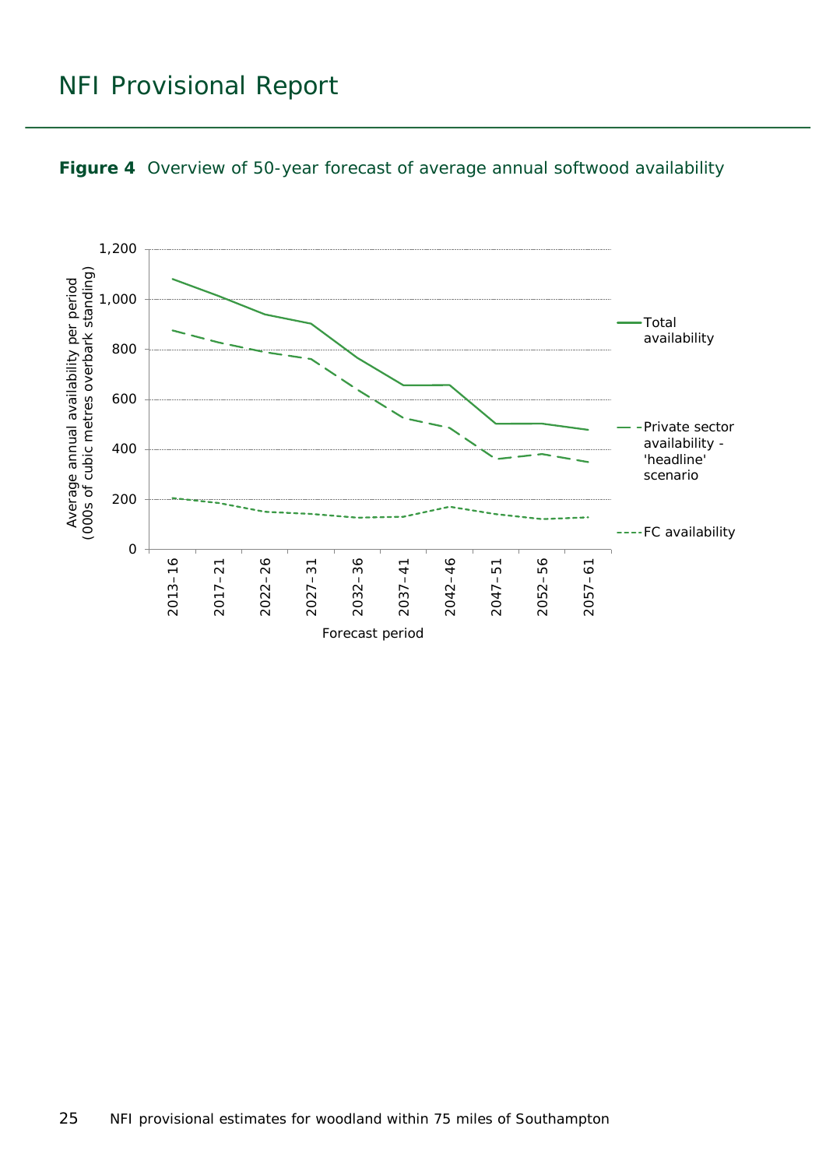

<span id="page-24-0"></span>![](_page_24_Figure_2.jpeg)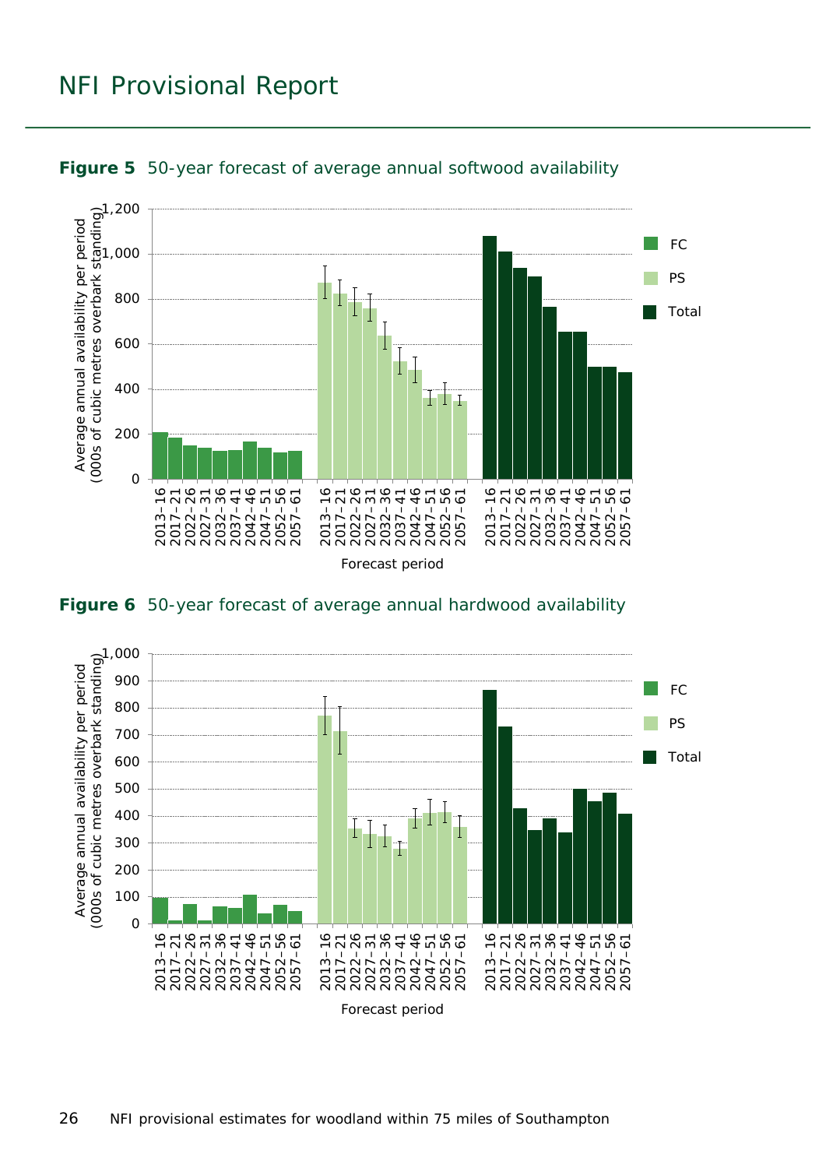![](_page_25_Figure_1.jpeg)

<span id="page-25-0"></span>![](_page_25_Figure_2.jpeg)

<span id="page-25-1"></span>![](_page_25_Figure_3.jpeg)

![](_page_25_Figure_4.jpeg)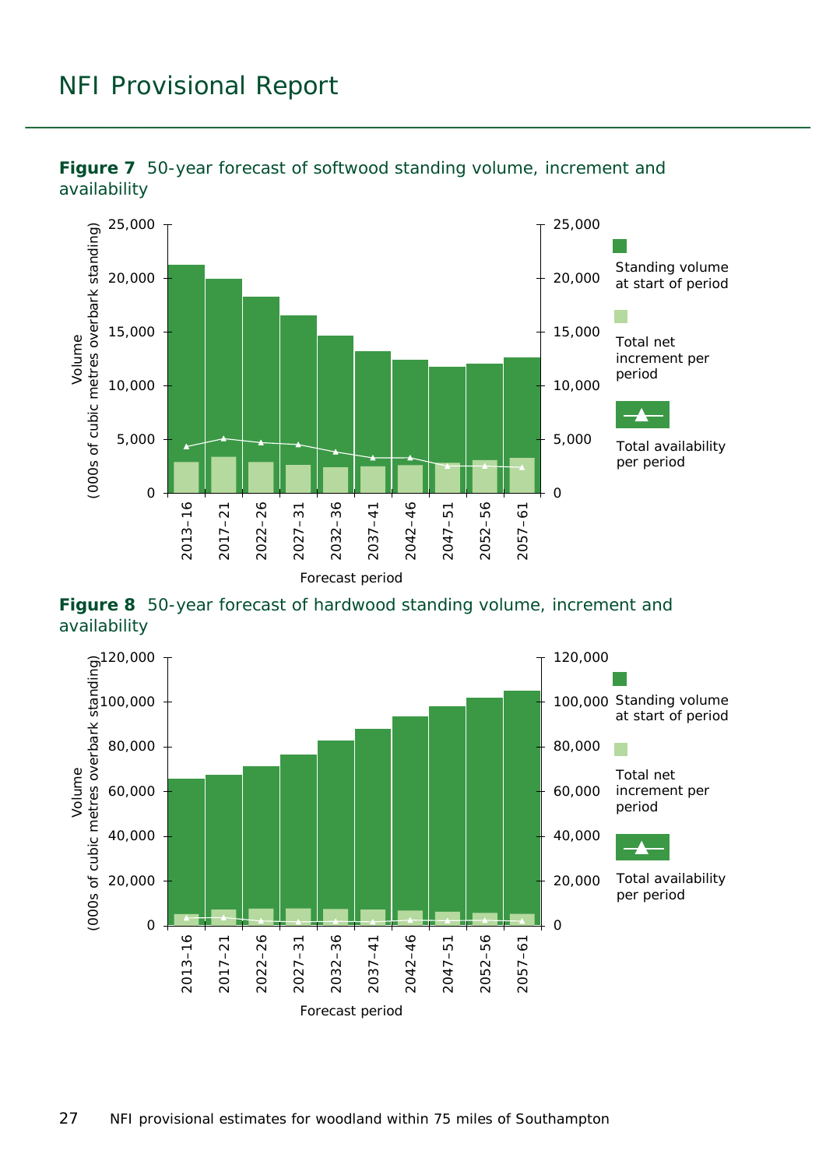![](_page_26_Figure_1.jpeg)

<span id="page-26-0"></span>![](_page_26_Figure_2.jpeg)

<span id="page-26-1"></span>**Figure 8** 50-year forecast of hardwood standing volume, increment and availability

![](_page_26_Figure_4.jpeg)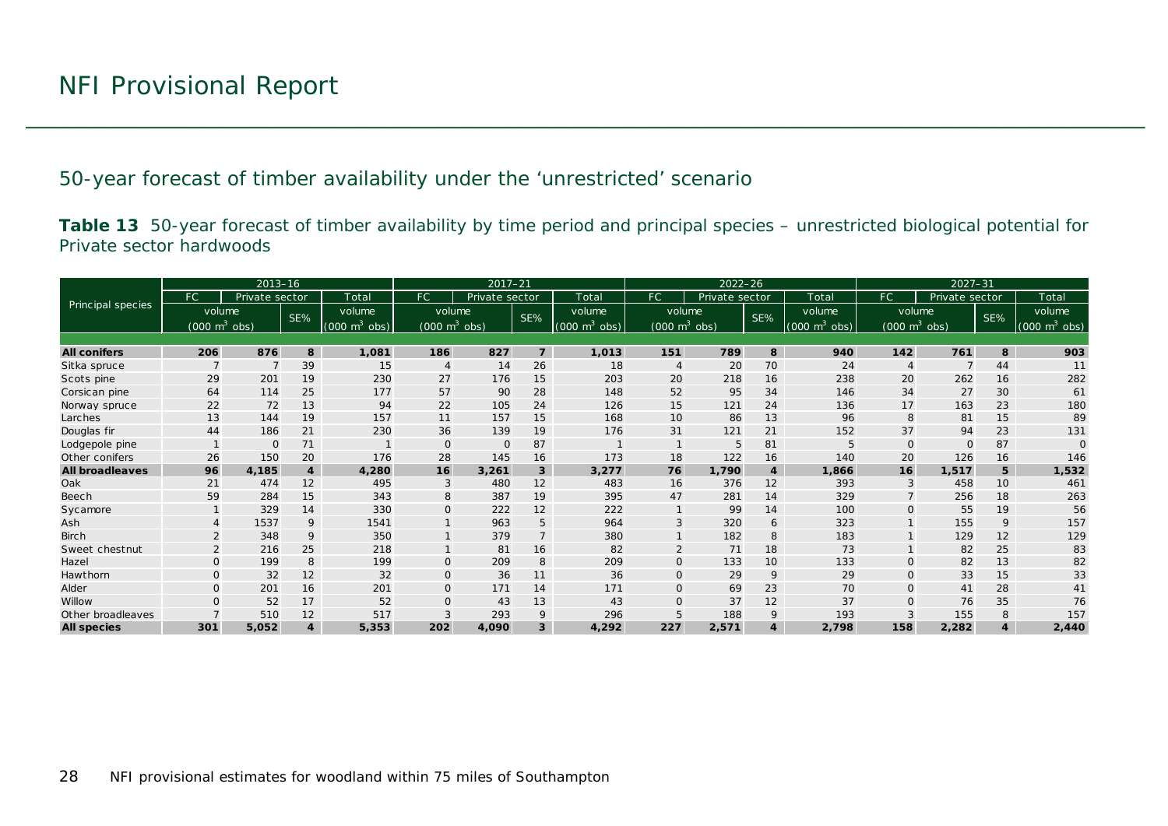50-year forecast of timber availability under the 'unrestricted' scenario

**Table 13** 50-year forecast of timber availability by time period and principal species – unrestricted biological potential for Private sector hardwoods

<span id="page-27-1"></span><span id="page-27-0"></span>

|                        |                                 | $2013 - 16$    |                  |                               |                                 |                | $2022 - 26$<br>$2017 - 21$ |                                 |                                 | $2027 - 31$    |                         |                                 |                |                                 |     |                                     |
|------------------------|---------------------------------|----------------|------------------|-------------------------------|---------------------------------|----------------|----------------------------|---------------------------------|---------------------------------|----------------|-------------------------|---------------------------------|----------------|---------------------------------|-----|-------------------------------------|
|                        | FC.                             | Private sector |                  | Total                         | <b>FC</b>                       | Private sector |                            | Total                           | FC.                             | Private sector |                         | Total                           | FC.            | Private sector                  |     | Total                               |
| Principal species      | volume                          |                | SE%              | volume                        | volume                          |                | SE%                        | volume                          | volume                          |                | SE%                     | volume                          |                | volume                          | SE% | volume                              |
|                        | $(000 \text{ m}^3 \text{ obs})$ |                |                  | $(000 \; \text{m}^3)$<br>obs) | $(000 \text{ m}^3 \text{ obs})$ |                |                            | $(000 \text{ m}^3 \text{ obs})$ | $(000 \text{ m}^3 \text{ obs})$ |                |                         | $(000 \text{ m}^3 \text{ obs})$ |                | $(000 \text{ m}^3 \text{ obs})$ |     | $(000 \; \text{m}^3 \; \text{obs})$ |
|                        |                                 |                |                  |                               |                                 |                |                            |                                 |                                 |                |                         |                                 |                |                                 |     |                                     |
| <b>All conifers</b>    | 206                             | 876            | 8                | 1,081                         | 186                             | 827            | $\overline{z}$             | 1,013                           | 151                             | 789            | 8                       | 940                             | 142            | 761                             | 8   | 903                                 |
| Sitka spruce           |                                 |                | 39               | 15                            | $\overline{4}$                  | 14             | 26                         | 18                              | $\overline{4}$                  | 20             | 70                      | 24                              | $\overline{4}$ | $\overline{7}$                  | 44  | 11                                  |
| Scots pine             | 29                              | 201            | 19               | 230                           | 27                              | 176            | 15                         | 203                             | 20                              | 218            | 16                      | 238                             | 20             | 262                             | 16  | 282                                 |
| Corsican pine          | 64                              | 114            | 25               | 177                           | 57                              | 90             | 28                         | 148                             | 52                              | 95             | 34                      | 146                             | 34             | 27                              | 30  | 61                                  |
| Norway spruce          | 22                              | 72             | 13               | 94                            | 22                              | 105            | 24                         | 126                             | 15                              | 121            | 24                      | 136                             | 17             | 163                             | 23  | 180                                 |
| Larches                | 13                              | 144            | 19               | 157                           | 11                              | 157            | 15                         | 168                             | 10                              | 86             | 13                      | 96                              | 8              | 81                              | 15  | 89                                  |
| Douglas fir            | 44                              | 186            | 21               | 230                           | 36                              | 139            | 19                         | 176                             | 31                              | 121            | 21                      | 152                             | 37             | 94                              | 23  | 131                                 |
| Lodgepole pine         |                                 | $\Omega$       | 71               |                               | $\mathbf{O}$                    | $\mathbf 0$    | 87                         |                                 |                                 | 5              | 81                      | 5                               | $\Omega$       | $\Omega$                        | 87  | $\Omega$                            |
| Other conifers         | 26                              | 150            | 20               | 176                           | 28                              | 145            | 16                         | 173                             | 18                              | 122            | 16                      | 140                             | 20             | 126                             | 16  | 146                                 |
| <b>All broadleaves</b> | 96                              | 4,185          | $\boldsymbol{4}$ | 4,280                         | 16                              | 3,261          | 3                          | 3,277                           | 76                              | 1.790          | $\overline{4}$          | 1,866                           | 16             | 1,517                           | 5   | 1,532                               |
| Oak                    | 21                              | 474            | 12               | 495                           | 3                               | 480            | 12                         | 483                             | 16                              | 376            | 12                      | 393                             |                | 458                             | 10  | 461                                 |
| Beech                  | 59                              | 284            | 15               | 343                           | 8                               | 387            | 19                         | 395                             | 47                              | 281            | 14                      | 329                             |                | 256                             | 18  | 263                                 |
| Sycamore               |                                 | 329            | 14               | 330                           | $\mathbf{O}$                    | 222            | 12                         | 222                             |                                 | 99             | 14                      | 100                             | $\Omega$       | 55                              | 19  | 56                                  |
| Ash                    |                                 | 1537           | 9                | 1541                          |                                 | 963            | 5                          | 964                             | 3                               | 320            | 6                       | 323                             |                | 155                             | 9   | 157                                 |
| <b>Birch</b>           |                                 | 348            | 9                | 350                           |                                 | 379            | $\overline{7}$             | 380                             |                                 | 182            | 8                       | 183                             |                | 129                             | 12  | 129                                 |
| Sweet chestnut         |                                 | 216            | 25               | 218                           |                                 | 81             | 16                         | 82                              |                                 | 71             | 18                      | 73                              |                | 82                              | 25  | 83                                  |
| Hazel                  | $\Omega$                        | 199            | 8                | 199                           | $\mathbf{O}$                    | 209            | 8                          | 209                             | $\Omega$                        | 133            | 10                      | 133                             | $\Omega$       | 82                              | 13  | 82                                  |
| Hawthorn               | $\mathbf{O}$                    | 32             | 12               | 32                            | $\mathbf{O}$                    | 36             | 11                         | 36                              | $\Omega$                        | 29             | 9                       | 29                              | $\Omega$       | 33                              | 15  | 33                                  |
| Alder                  | 0                               | 201            | 16               | 201                           | $\mathbf 0$                     | 171            | 14                         | 171                             | 0                               | 69             | 23                      | 70                              | $\Omega$       | 41                              | 28  | 41                                  |
| Willow                 | $\Omega$                        | 52             | 17               | 52                            | $\Omega$                        | 43             | 13                         | 43                              | O                               | 37             | 12                      | 37                              |                | 76                              | 35  | 76                                  |
| Other broadleaves      |                                 | 510            | 12               | 517                           | 3                               | 293            | 9                          | 296                             |                                 | 188            | 9                       | 193                             |                | 155                             | 8   | 157                                 |
| <b>All species</b>     | 301                             | 5,052          | $\overline{4}$   | 5,353                         | 202                             | 4,090          | 3                          | 4,292                           | 227                             | 2,571          | $\overline{\mathbf{4}}$ | 2,798                           | 158            | 2,282                           |     | 2,440                               |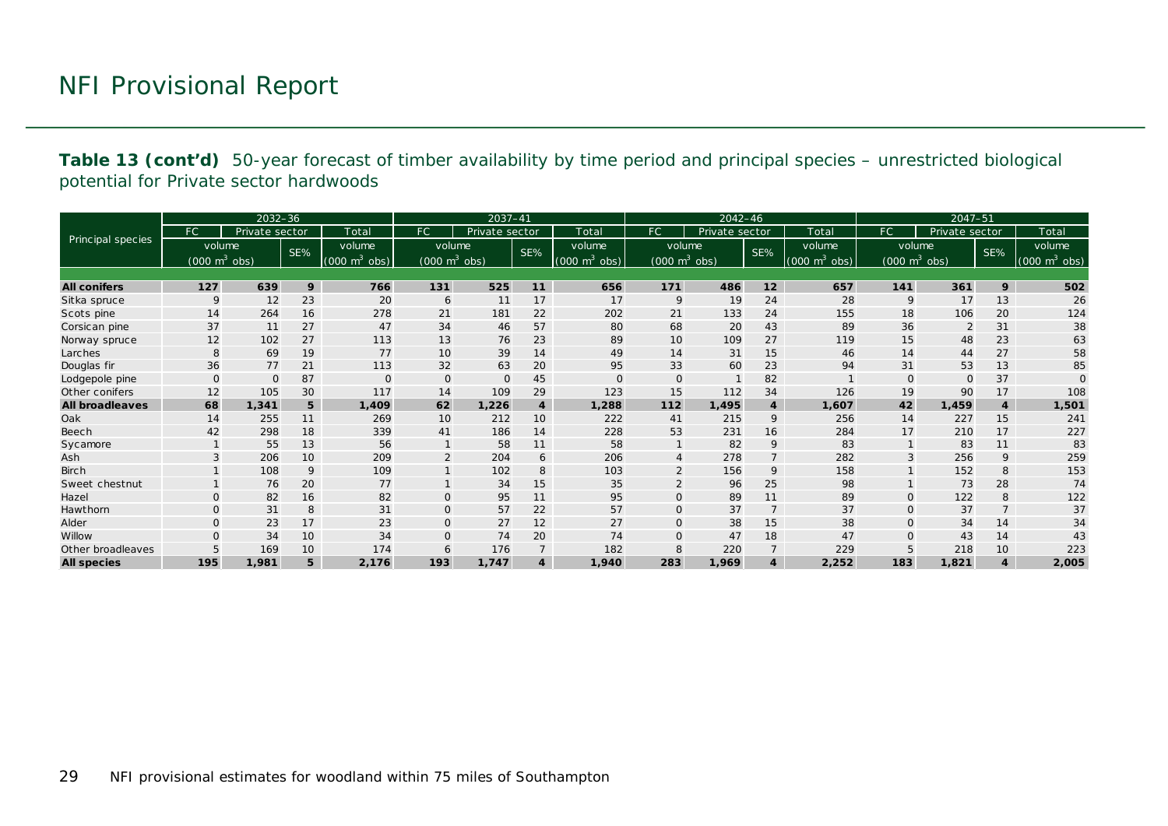**Table 13 (cont'd)** 50-year forecast of timber availability by time period and principal species – unrestricted biological potential for Private sector hardwoods

|                        |                                     | $2032 - 36$    |     |                             |                                 | $2037 - 41$    |                         |                                 |                                 | $2042 - 46$    |                 |                                 |                                 | $2047 - 51$    |                |                     |
|------------------------|-------------------------------------|----------------|-----|-----------------------------|---------------------------------|----------------|-------------------------|---------------------------------|---------------------------------|----------------|-----------------|---------------------------------|---------------------------------|----------------|----------------|---------------------|
|                        | FC.                                 | Private sector |     | Total                       | <b>FC</b>                       | Private sector |                         | Total                           | FC.                             | Private sector |                 | Total                           | FC.                             | Private sector |                | Total               |
| Principal species      | volume                              |                | SE% | volume                      | volume                          |                | SE%                     | volume                          | volume                          |                | SE%             | volume                          |                                 | volume         | SE%            | volume              |
|                        | $(000 \; \text{m}^3 \; \text{obs})$ |                |     | $(000 \text{ m}^3)$<br>obs) | $(000 \text{ m}^3 \text{ obs})$ |                |                         | $(000 \text{ m}^3 \text{ obs})$ | $(000 \text{ m}^3 \text{ obs})$ |                |                 | $(000 \text{ m}^3 \text{ obs})$ | $(000 \text{ m}^3 \text{ obs})$ |                |                | $m^3$ obs)<br>(000) |
|                        |                                     |                |     |                             |                                 |                |                         |                                 |                                 |                |                 |                                 |                                 |                |                |                     |
| <b>All conifers</b>    | 127                                 | 639            | 9   | 766                         | 131                             | 525            | 11                      | 656                             | 171                             | 486            | 12 <sup>7</sup> | 657                             | 141                             | 361            | 9              | 502                 |
| Sitka spruce           | 9                                   | 12             | 23  | 20                          | 6                               | 11             | 17                      | 17                              | 9                               | 19             | 24              | 28                              | $\mathsf{Q}$                    | 17             | 13             | 26                  |
| Scots pine             | 14                                  | 264            | 16  | 278                         | 21                              | 181            | 22                      | 202                             | 21                              | 133            | 24              | 155                             | 18                              | 106            | 20             | 124                 |
| Corsican pine          | 37                                  | 11             | 27  | 47                          | 34                              | 46             | 57                      | 80                              | 68                              | 20             | 43              | 89                              | 36                              | 2              | 31             | 38                  |
| Norway spruce          | 12                                  | 102            | 27  | 113                         | 13                              | 76             | 23                      | 89                              | 10                              | 109            | 27              | 119                             | 15                              | 48             | 23             | 63                  |
| Larches                | 8                                   | 69             | 19  | 77                          | 10                              | 39             | 14                      | 49                              | 14                              | 31             | 15              | 46                              | 14                              | 44             | 27             | 58                  |
| Douglas fir            | 36                                  | 77             | 21  | 113                         | 32                              | 63             | 20                      | 95                              | 33                              | 60             | 23              | 94                              | 31                              | 53             | 13             | 85                  |
| Lodgepole pine         | $\mathbf{O}$                        | $\Omega$       | 87  | $\Omega$                    | $\circ$                         | $\mathbf{0}$   | 45                      | $\Omega$                        | 0                               |                | 82              |                                 | $\mathbf{O}$                    | 0              | 37             |                     |
| Other conifers         | 12                                  | 105            | 30  | 117                         | 14                              | 109            | 29                      | 123                             | 15                              | 112            | 34              | 126                             | 19                              | 90             | 17             | 108                 |
| <b>All broadleaves</b> | 68                                  | 1,341          | 5   | 1,409                       | 62                              | 1,226          | $\overline{4}$          | 1,288                           | 112                             | 1,495          | $\overline{4}$  | 1,607                           | 42                              | 1,459          | $\overline{4}$ | 1,501               |
| Oak                    | 14                                  | 255            | 11  | 269                         | 10                              | 212            | 10                      | 222                             | 41                              | 215            | 9               | 256                             | 14                              | 227            | 15             | 241                 |
| <b>Beech</b>           | 42                                  | 298            | 18  | 339                         | 41                              | 186            | 14                      | 228                             | 53                              | 231            | 16              | 284                             | 17                              | 210            | 17             | 227                 |
| Sycamore               |                                     | 55             | 13  | 56                          | $\mathbf{1}$                    | 58             | 11                      | 58                              |                                 | 82             | 9               | 83                              |                                 | 83             | 11             | 83                  |
| Ash                    | 3                                   | 206            | 10  | 209                         | 2                               | 204            | 6                       | 206                             | 4                               | 278            | $\overline{7}$  | 282                             | 3                               | 256            | 9              | 259                 |
| <b>Birch</b>           |                                     | 108            | 9   | 109                         | $\mathbf{1}$                    | 102            | 8                       | 103                             | 2                               | 156            | 9               | 158                             |                                 | 152            | 8              | 153                 |
| Sweet chestnut         |                                     | 76             | 20  | 77                          | $\mathbf{1}$                    | 34             | 15                      | 35                              | $\overline{2}$                  | 96             | 25              | 98                              |                                 | 73             | 28             | 74                  |
| Hazel                  | $\Omega$                            | 82             | 16  | 82                          | $\mathbf 0$                     | 95             | 11                      | 95                              | $\mathsf{O}$                    | 89             | 11              | 89                              | $\mathbf 0$                     | 122            | 8              | 122                 |
| Hawthorn               | $\mathbf{O}$                        | 31             | 8   | 31                          | $\mathbf 0$                     | 57             | 22                      | 57                              | 0                               | 37             | $\overline{7}$  | 37                              | $\mathbf 0$                     | 37             | $\overline{7}$ | 37                  |
| Alder                  | $\Omega$                            | 23             | 17  | 23                          | $\mathbf{O}$                    | 27             | 12                      | 27                              | $\Omega$                        | 38             | 15              | 38                              | $\mathbf{O}$                    | 34             | 14             | 34                  |
| Willow                 | $\Omega$                            | 34             | 10  | 34                          | $\mathbf 0$                     | 74             | 20                      | 74                              | 0                               | 47             | 18              | 47                              | $\mathbf{O}$                    | 43             | 14             | 43                  |
| Other broadleaves      |                                     | 169            | 10  | 174                         | 6                               | 176            | $\overline{7}$          | 182                             | 8                               | 220            | $\overline{7}$  | 229                             | 5                               | 218            | 10             | 223                 |
| <b>All species</b>     | 195                                 | 1,981          | 5   | 2,176                       | 193                             | 1,747          | $\overline{\mathbf{4}}$ | 1,940                           | 283                             | 1,969          | 4               | 2,252                           | 183                             | 1,821          | 4              | 2,005               |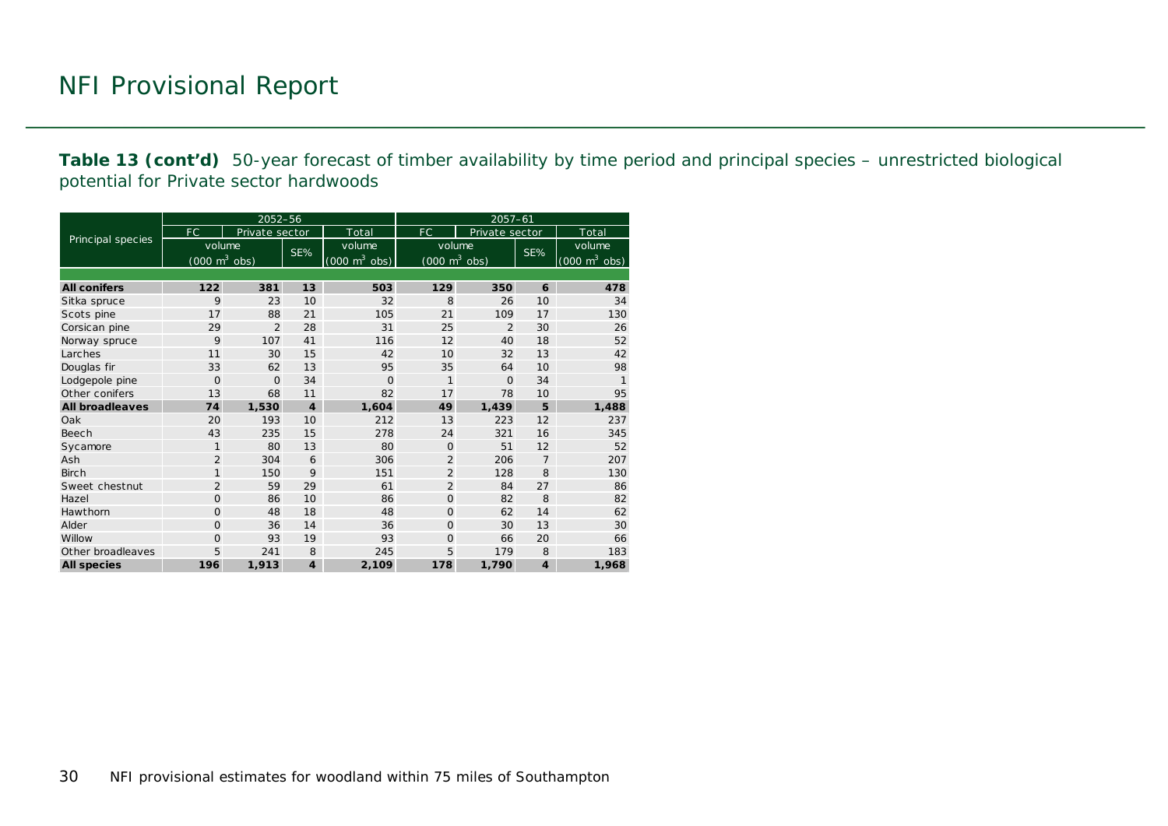**Table 13 (cont'd)** 50-year forecast of timber availability by time period and principal species – unrestricted biological potential for Private sector hardwoods

|                        |                                 | 2052-56        |                         |                                     | $2057 - 61$                         |                |                         |                                     |  |  |
|------------------------|---------------------------------|----------------|-------------------------|-------------------------------------|-------------------------------------|----------------|-------------------------|-------------------------------------|--|--|
|                        | FC.                             | Private sector |                         | Total                               | FC.                                 | Private sector |                         | Total                               |  |  |
| Principal species      | volume                          |                | SE%                     | volume                              | volume                              |                | SE%                     | volume                              |  |  |
|                        | $(000 \text{ m}^3 \text{ obs})$ |                |                         | $(000 \; \text{m}^3 \; \text{obs})$ | $(000 \; \text{m}^3 \; \text{obs})$ |                |                         | $(000 \; \text{m}^3 \; \text{obs})$ |  |  |
|                        |                                 |                |                         |                                     |                                     |                |                         |                                     |  |  |
| <b>All conifers</b>    | 122                             | 381            | 13                      | 503                                 | 129                                 | 350            | 6                       | 478                                 |  |  |
| Sitka spruce           | 9                               | 23             | 10                      | 32                                  | 8                                   | 26             | 10                      | 34                                  |  |  |
| Scots pine             | 17                              | 88             | 21                      | 105                                 | 21                                  | 109            | 17                      | 130                                 |  |  |
| Corsican pine          | 29                              | $\overline{2}$ | 28                      | 31                                  | 25                                  | $\overline{2}$ | 30                      | 26                                  |  |  |
| Norway spruce          | 9                               | 107            | 41                      | 116                                 | 12                                  | 40             | 18                      | 52                                  |  |  |
| Larches                | 11                              | 30             | 15                      | 42                                  | 10                                  | 32             | 13                      | 42                                  |  |  |
| Douglas fir            | 33                              | 62             | 13                      | 95                                  | 35                                  | 64             | 10                      | 98                                  |  |  |
| Lodgepole pine         | $\Omega$                        | $\Omega$       | 34                      | $\Omega$                            | $\mathbf{1}$                        | $\Omega$       | 34                      | $\mathbf{1}$                        |  |  |
| Other conifers         | 13                              | 68             | 11                      | 82                                  | 17                                  | 78             | 10                      | 95                                  |  |  |
| <b>All broadleaves</b> | 74                              | 1,530          | $\boldsymbol{4}$        | 1,604                               | 49                                  | 1.439          | 5                       | 1,488                               |  |  |
| Oak                    | 20                              | 193            | 10                      | 212                                 | 13                                  | 223            | 12                      | 237                                 |  |  |
| Beech                  | 43                              | 235            | 15                      | 278                                 | 24                                  | 321            | 16                      | 345                                 |  |  |
| Sycamore               | $\mathbf{1}$                    | 80             | 13                      | 80                                  | $\Omega$                            | 51             | 12                      | 52                                  |  |  |
| Ash                    | $\overline{2}$                  | 304            | 6                       | 306                                 | $\overline{2}$                      | 206            | $\overline{7}$          | 207                                 |  |  |
| <b>Birch</b>           | $\mathbf{1}$                    | 150            | 9                       | 151                                 | $\overline{2}$                      | 128            | 8                       | 130                                 |  |  |
| Sweet chestnut         | $\overline{2}$                  | 59             | 29                      | 61                                  | $\overline{2}$                      | 84             | 27                      | 86                                  |  |  |
| Hazel                  | 0                               | 86             | 10                      | 86                                  | $\Omega$                            | 82             | 8                       | 82                                  |  |  |
| Hawthorn               | $\Omega$                        | 48             | 18                      | 48                                  | $\Omega$                            | 62             | 14                      | 62                                  |  |  |
| Alder                  | 0                               | 36             | 14                      | 36                                  | $\Omega$                            | 30             | 13                      | 30                                  |  |  |
| Willow                 | 0                               | 93             | 19                      | 93                                  | $\Omega$                            | 66             | 20                      | 66                                  |  |  |
| Other broadleaves      | 5                               | 241            | 8                       | 245                                 | 5                                   | 179            | 8                       | 183                                 |  |  |
| <b>All species</b>     | 196                             | 1,913          | $\overline{\mathbf{4}}$ | 2,109                               | 178                                 | 1,790          | $\overline{\mathbf{4}}$ | 1,968                               |  |  |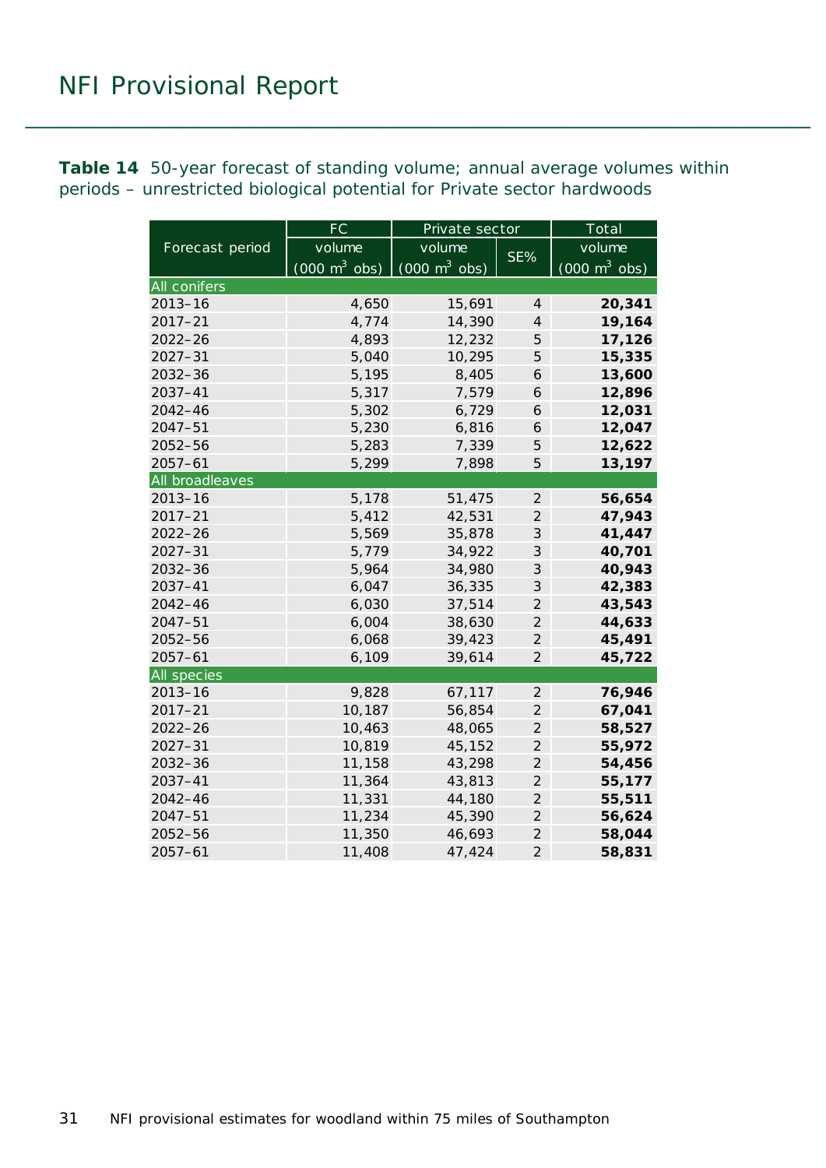<span id="page-30-0"></span>**Table 14** 50-year forecast of standing volume; annual average volumes within periods – unrestricted biological potential for Private sector hardwoods

|                    | FC                              | Private sector                      |                | Total                           |  |  |
|--------------------|---------------------------------|-------------------------------------|----------------|---------------------------------|--|--|
| Forecast period    | volume                          | volume                              | SE%            | volume                          |  |  |
|                    | $(000 \text{ m}^3 \text{ obs})$ | $(000 \; \text{m}^3 \; \text{obs})$ |                | $(000 \text{ m}^3 \text{ obs})$ |  |  |
| All conifers       |                                 |                                     |                |                                 |  |  |
| $2013 - 16$        | 4,650                           | 15,691                              | $\overline{4}$ | 20,341                          |  |  |
| $2017 - 21$        | 4,774                           | 14,390                              | $\overline{4}$ | 19,164                          |  |  |
| $2022 - 26$        | 4,893                           | 12,232                              | 5              | 17,126                          |  |  |
| $2027 - 31$        | 5,040                           | 10,295                              | 5              | 15,335                          |  |  |
| $2032 - 36$        | 5,195                           | 8,405                               | 6              | 13,600                          |  |  |
| 2037-41            | 5,317                           | 7,579                               | 6              | 12,896                          |  |  |
| $2042 - 46$        | 5,302                           | 6,729                               | 6              | 12,031                          |  |  |
| $2047 - 51$        | 5,230                           | 6,816                               | 6              | 12,047                          |  |  |
| $2052 - 56$        | 5,283                           | 7,339                               | 5              | 12,622                          |  |  |
| $2057 - 61$        | 5,299                           | 7,898                               | 5              | 13,197                          |  |  |
| All broadleaves    |                                 |                                     |                |                                 |  |  |
| $2013 - 16$        | 5,178                           | 51,475                              | $\overline{2}$ | 56,654                          |  |  |
| $2017 - 21$        | 5,412                           | 42,531                              | $\overline{2}$ | 47,943                          |  |  |
| $2022 - 26$        | 5,569                           | 35,878                              | 3              | 41,447                          |  |  |
| $2027 - 31$        | 5,779                           | 34,922                              | 3              | 40,701                          |  |  |
| 2032-36            | 5,964                           | 34,980                              | 3              | 40,943                          |  |  |
| $2037 - 41$        | 6,047                           | 36,335                              | 3              | 42,383                          |  |  |
| 2042-46            | 6,030                           | 37,514                              | $\overline{2}$ | 43,543                          |  |  |
| $2047 - 51$        | 6,004                           | 38,630                              | $\overline{2}$ | 44,633                          |  |  |
| 2052-56            | 6,068                           | 39,423                              | $\overline{2}$ | 45,491                          |  |  |
| $2057 - 61$        | 6,109                           | 39,614                              | $\overline{2}$ | 45,722                          |  |  |
| <b>All species</b> |                                 |                                     |                |                                 |  |  |
| $2013 - 16$        | 9,828                           | 67,117                              | $\overline{2}$ | 76,946                          |  |  |
| $2017 - 21$        | 10,187                          | 56,854                              | $\overline{2}$ | 67,041                          |  |  |
| $2022 - 26$        | 10,463                          | 48,065                              | $\overline{2}$ | 58,527                          |  |  |
| $2027 - 31$        | 10,819                          | 45,152                              | $\overline{2}$ | 55,972                          |  |  |
| $2032 - 36$        | 11,158                          | 43,298                              | $\overline{c}$ | 54,456                          |  |  |
| 2037-41            | 11,364                          | 43,813                              | $\overline{2}$ | 55,177                          |  |  |
| $2042 - 46$        | 11,331                          | 44,180                              | $\overline{2}$ | 55,511                          |  |  |
| $2047 - 51$        | 11,234                          | 45,390                              | $\overline{2}$ | 56,624                          |  |  |
| 2052-56            | 11,350                          | 46,693                              | $\overline{2}$ | 58,044                          |  |  |
| $2057 - 61$        | 11,408                          | 47,424                              | $\overline{2}$ | 58,831                          |  |  |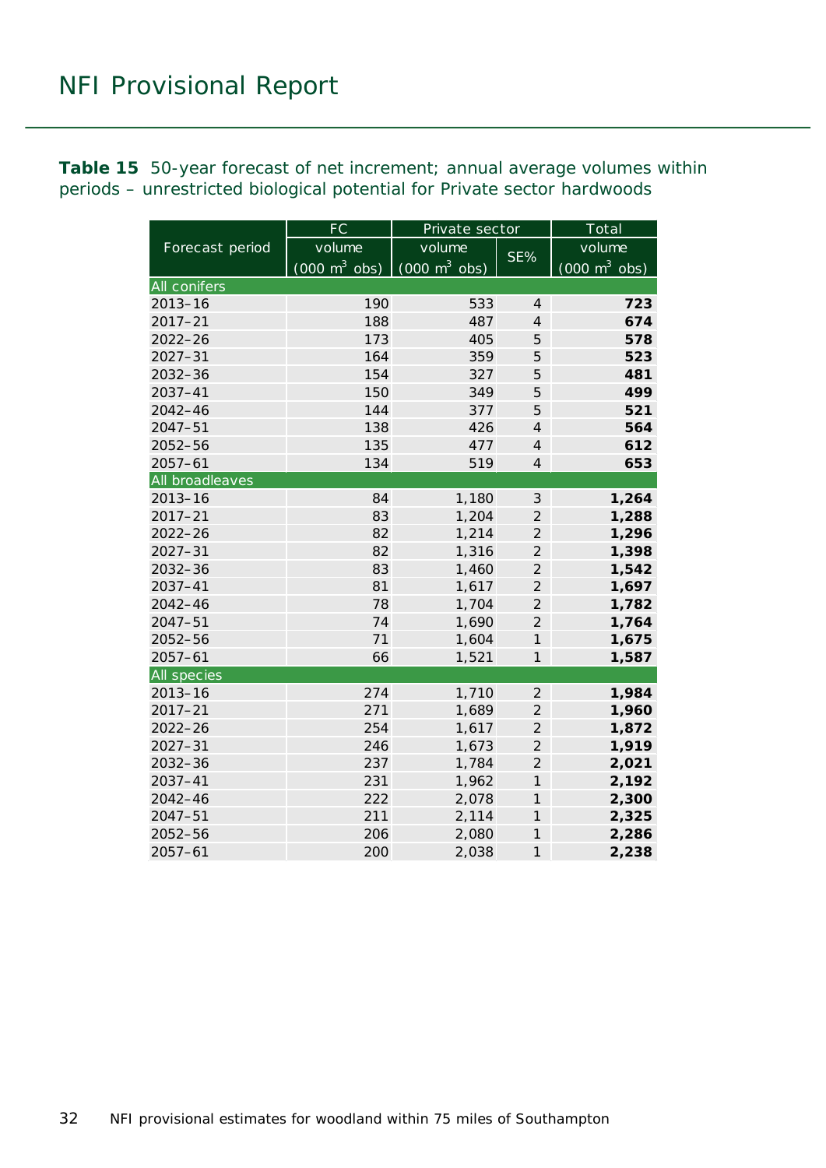<span id="page-31-0"></span>**Table 15** 50-year forecast of net increment; annual average volumes within periods – unrestricted biological potential for Private sector hardwoods

|                 | FC                              | Private sector                  |                | Total                           |  |  |
|-----------------|---------------------------------|---------------------------------|----------------|---------------------------------|--|--|
| Forecast period | volume                          | volume                          | SE%            | volume                          |  |  |
|                 | $(000 \text{ m}^3 \text{ obs})$ | $(000 \text{ m}^3 \text{ obs})$ |                | $(000 \text{ m}^3 \text{ obs})$ |  |  |
| All conifers    |                                 |                                 |                |                                 |  |  |
| $2013 - 16$     | 190                             | 533                             | $\overline{4}$ | 723                             |  |  |
| $2017 - 21$     | 188                             | 487                             | $\overline{4}$ | 674                             |  |  |
| $2022 - 26$     | 173                             | 405                             | 5              | 578                             |  |  |
| $2027 - 31$     | 164                             | 359                             | 5              | 523                             |  |  |
| 2032-36         | 154                             | 327                             | 5              | 481                             |  |  |
| 2037-41         | 150                             | 349                             | 5              | 499                             |  |  |
| 2042-46         | 144                             | 377                             | 5              | 521                             |  |  |
| $2047 - 51$     | 138                             | 426                             | $\overline{4}$ | 564                             |  |  |
| 2052-56         | 135                             | 477                             | $\overline{4}$ | 612                             |  |  |
| $2057 - 61$     | 134                             | 519                             | $\overline{4}$ | 653                             |  |  |
| All broadleaves |                                 |                                 |                |                                 |  |  |
| $2013 - 16$     | 84                              | 1,180                           | $\mathfrak{Z}$ | 1,264                           |  |  |
| $2017 - 21$     | 83                              | 1,204                           | $\overline{2}$ | 1,288                           |  |  |
| $2022 - 26$     | 82                              | 1,214                           | $\overline{2}$ | 1,296                           |  |  |
| $2027 - 31$     | 82                              | 1,316                           | $\overline{2}$ | 1,398                           |  |  |
| $2032 - 36$     | 83                              | 1,460                           | $\overline{2}$ | 1,542                           |  |  |
| $2037 - 41$     | 81                              | 1,617                           | $\overline{2}$ | 1,697                           |  |  |
| $2042 - 46$     | 78                              | 1,704                           | $\overline{2}$ | 1,782                           |  |  |
| $2047 - 51$     | 74                              | 1,690                           | $\overline{2}$ | 1,764                           |  |  |
| $2052 - 56$     | 71                              | 1,604                           | $\mathcal{I}$  | 1,675                           |  |  |
| $2057 - 61$     | 66                              | 1,521                           | $\mathcal{I}$  | 1,587                           |  |  |
| All species     |                                 |                                 |                |                                 |  |  |
| $2013 - 16$     | 274                             | 1,710                           | $\overline{2}$ | 1,984                           |  |  |
| $2017 - 21$     | 271                             | 1,689                           | $\overline{2}$ | 1,960                           |  |  |
| $2022 - 26$     | 254                             | 1,617                           | $\overline{2}$ | 1,872                           |  |  |
| $2027 - 31$     | 246                             | 1,673                           | $\overline{2}$ | 1,919                           |  |  |
| 2032-36         | 237                             | 1,784                           | $\overline{2}$ | 2,021                           |  |  |
| $2037 - 41$     | 231                             | 1,962                           | $\mathcal{I}$  | 2,192                           |  |  |
| 2042-46         | 222                             | 2,078                           | $\mathcal{I}$  | 2,300                           |  |  |
| $2047 - 51$     | 211                             | 2,114                           | $\mathcal{I}$  | 2,325                           |  |  |
| 2052-56         | 206                             | 2,080                           | $\mathcal{I}$  | 2,286                           |  |  |
| $2057 - 61$     | 200                             | 2,038                           | $\overline{1}$ | 2,238                           |  |  |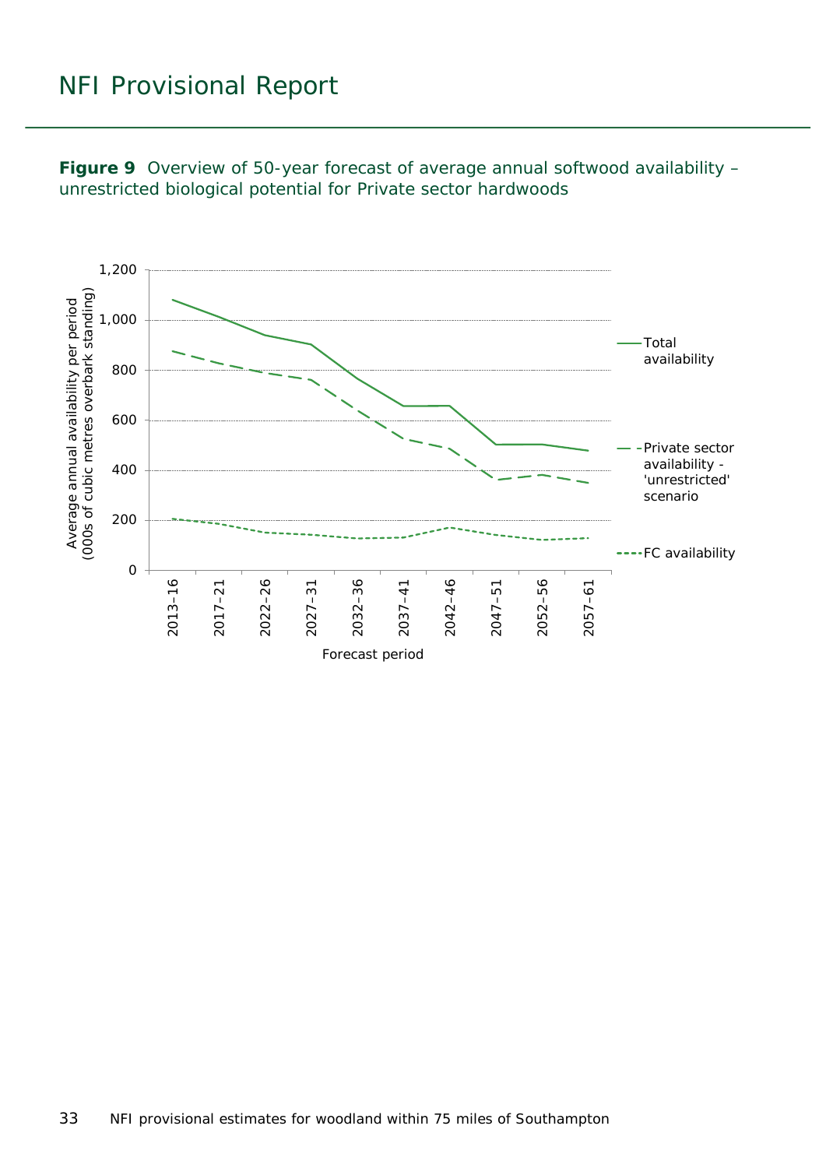<span id="page-32-0"></span>![](_page_32_Figure_1.jpeg)

![](_page_32_Figure_2.jpeg)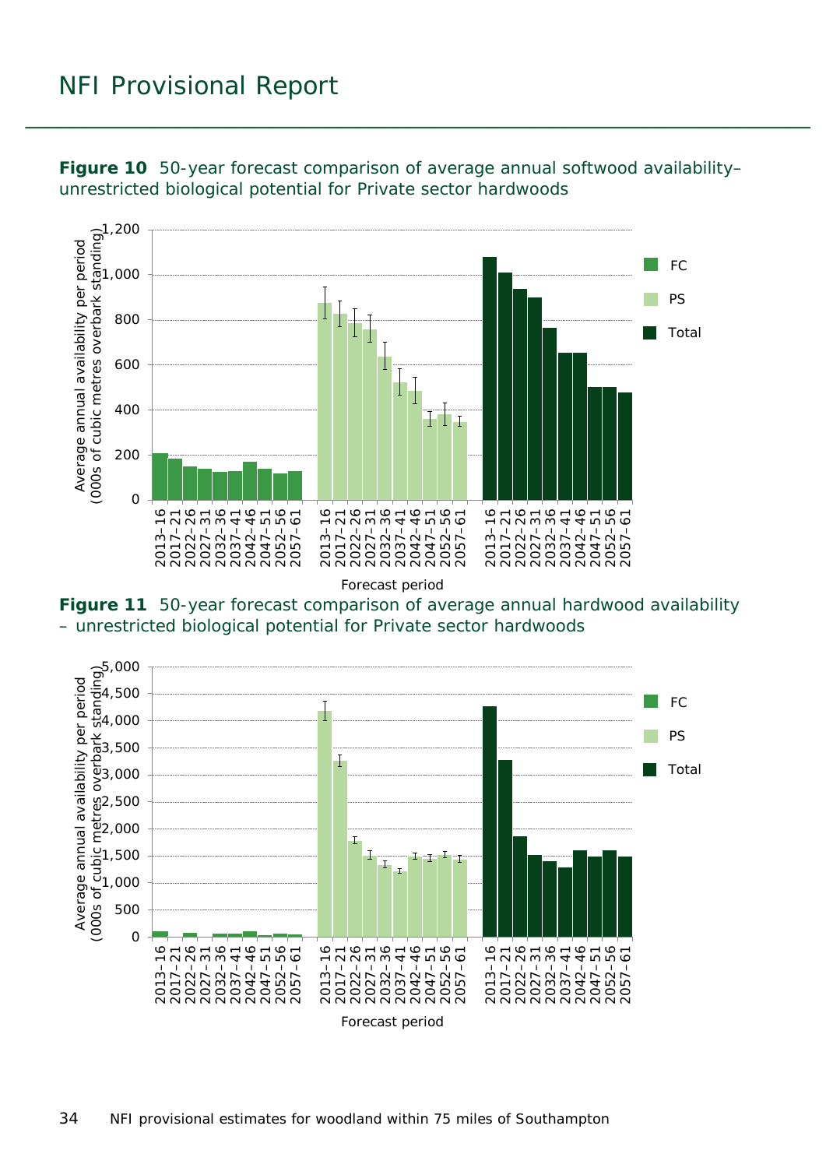![](_page_33_Figure_1.jpeg)

<span id="page-33-0"></span>**Figure 10** 50-year forecast comparison of average annual softwood availability– unrestricted biological potential for Private sector hardwoods

<span id="page-33-1"></span>**Figure 11** 50-year forecast comparison of average annual hardwood availability – unrestricted biological potential for Private sector hardwoods

![](_page_33_Figure_4.jpeg)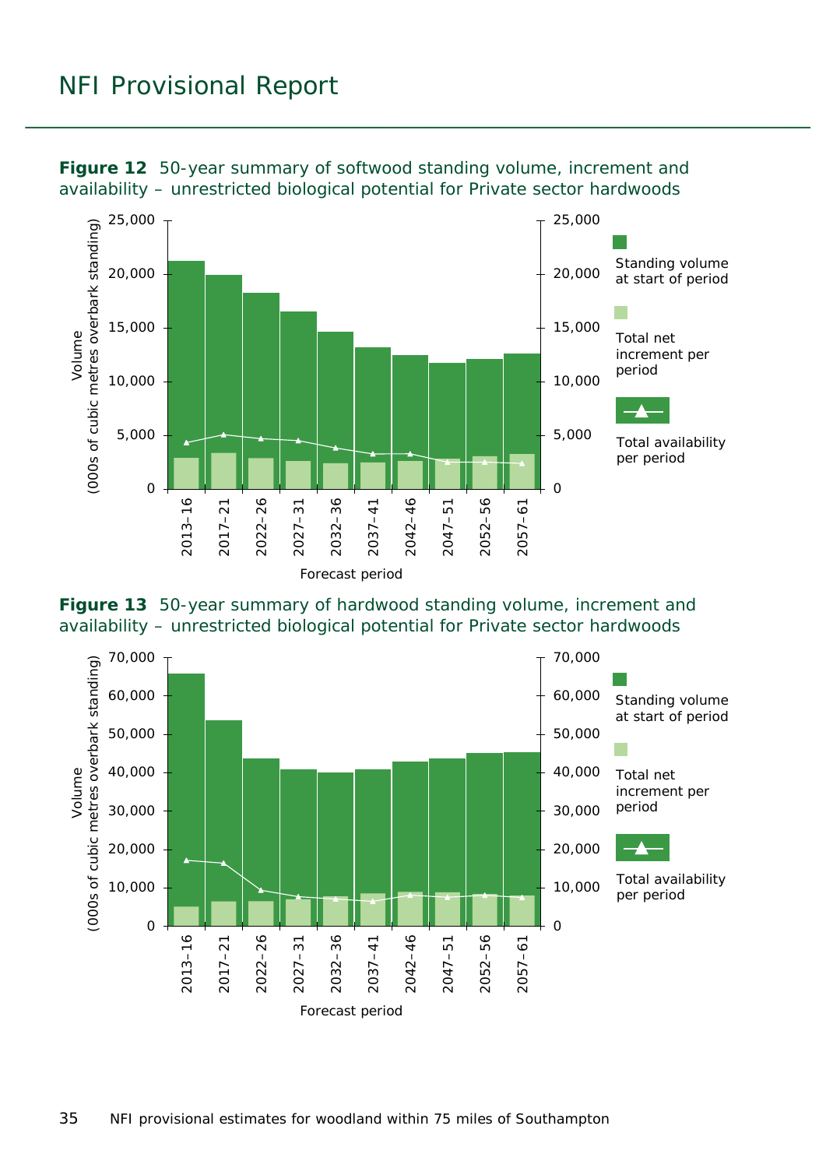![](_page_34_Figure_1.jpeg)

<span id="page-34-0"></span>**Figure 12** 50-year summary of softwood standing volume, increment and availability – unrestricted biological potential for Private sector hardwoods

<span id="page-34-1"></span>![](_page_34_Figure_3.jpeg)

![](_page_34_Figure_4.jpeg)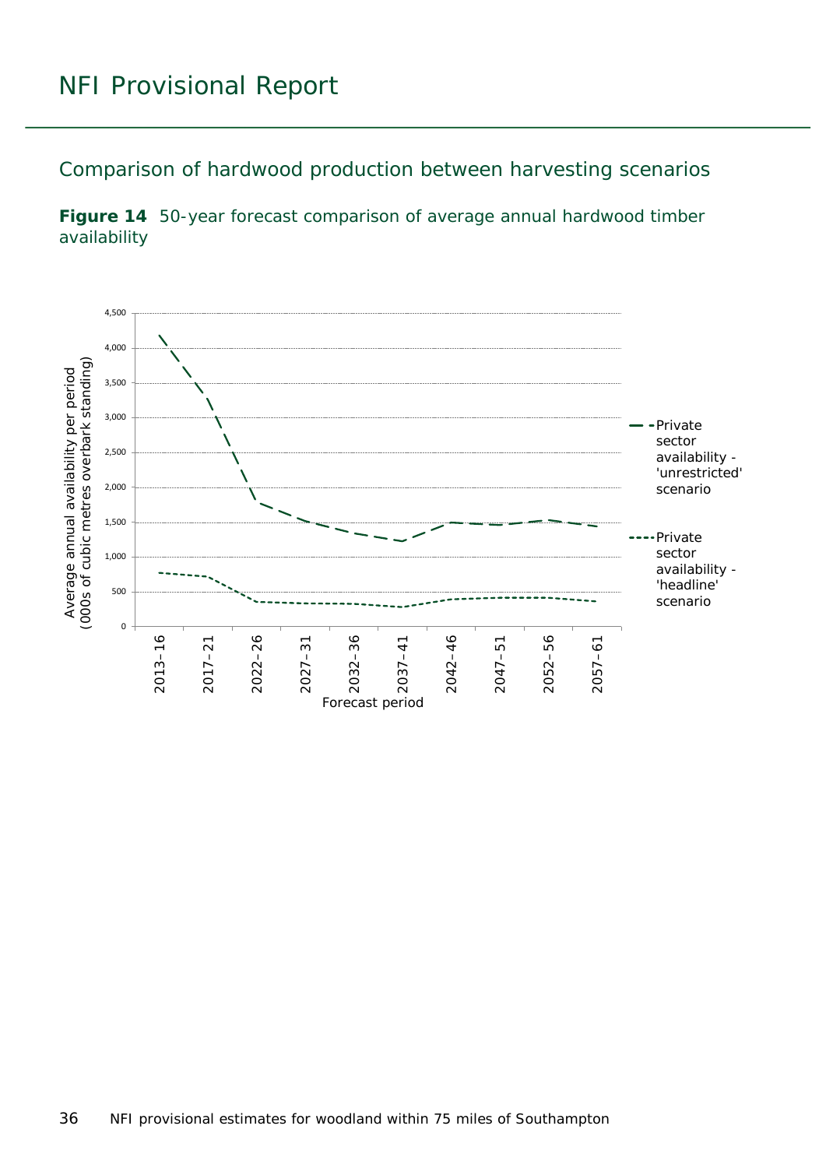<span id="page-35-0"></span>Comparison of hardwood production between harvesting scenarios

<span id="page-35-1"></span>![](_page_35_Figure_2.jpeg)

![](_page_35_Figure_3.jpeg)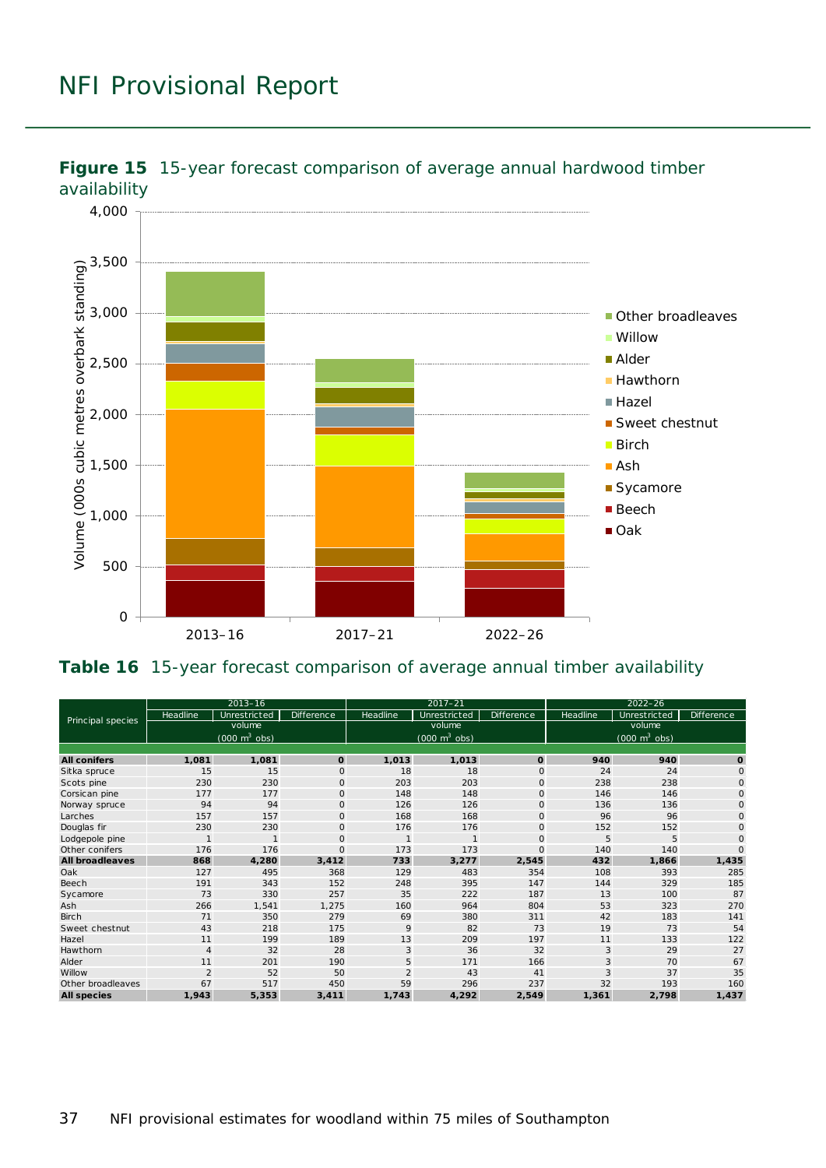![](_page_36_Figure_1.jpeg)

<span id="page-36-0"></span>![](_page_36_Figure_2.jpeg)

#### <span id="page-36-1"></span>**Table 16** 15-year forecast comparison of average annual timber availability

| Principal species      | $2013 - 16$                               |              |              | $2017 - 21$                                   |              |                   | $2022 - 26$                               |              |                   |
|------------------------|-------------------------------------------|--------------|--------------|-----------------------------------------------|--------------|-------------------|-------------------------------------------|--------------|-------------------|
|                        | Headline                                  | Unrestricted | Difference   | Headline                                      | Unrestricted | <b>Difference</b> | Headline                                  | Unrestricted | <b>Difference</b> |
|                        | volume<br>$(000 \text{ m}^3 \text{ obs})$ |              |              | volume<br>$(000 \; \text{m}^3 \; \text{obs})$ |              |                   | volume<br>$(000 \text{ m}^3 \text{ obs})$ |              |                   |
|                        |                                           |              |              |                                               |              |                   |                                           |              |                   |
|                        |                                           |              |              |                                               |              |                   |                                           |              |                   |
| <b>All conifers</b>    | 1,081                                     | 1,081        | $\mathbf{o}$ | 1,013                                         | 1,013        | $\mathbf{o}$      | 940                                       | 940          | O                 |
| Sitka spruce           | 15                                        | 15           | $\circ$      | 18                                            | 18           | $\circ$           | 24                                        | 24           | $\mathsf{O}$      |
| Scots pine             | 230                                       | 230          | $\mathbf{O}$ | 203                                           | 203          | $\mathbf{O}$      | 238                                       | 238          | $\mathsf O$       |
| Corsic an pine         | 177                                       | 177          | $\mathbf 0$  | 148                                           | 148          | $\mathbf 0$       | 146                                       | 146          | $\mathbf{O}$      |
| Norway spruce          | 94                                        | 94           | $\mathbf 0$  | 126                                           | 126          | $\mathbf 0$       | 136                                       | 136          | $\mathsf{O}$      |
| Larches                | 157                                       | 157          | $\Omega$     | 168                                           | 168          | $\circ$           | 96                                        | 96           | $\mathbf{O}$      |
| Douglas fir            | 230                                       | 230          | $\mathbf{O}$ | 176                                           | 176          | $\circ$           | 152                                       | 152          | $\mathbf{O}$      |
| Lodgepole pine         | $\mathbf{1}$                              | $\mathbf{1}$ | $\mathbf{O}$ | $\mathbf{1}$                                  | $\mathbf{1}$ | $\circ$           | 5                                         | 5            | $\mathbf{O}$      |
| Other conifers         | 176                                       | 176          | $\Omega$     | 173                                           | 173          | $\circ$           | 140                                       | 140          | $\Omega$          |
| <b>All broadleaves</b> | 868                                       | 4,280        | 3,412        | 733                                           | 3,277        | 2,545             | 432                                       | 1,866        | 1,435             |
| Oak                    | 127                                       | 495          | 368          | 129                                           | 483          | 354               | 108                                       | 393          | 285               |
| Beech                  | 191                                       | 343          | 152          | 248                                           | 395          | 147               | 144                                       | 329          | 185               |
| Sycamore               | 73                                        | 330          | 257          | 35                                            | 222          | 187               | 13                                        | 100          | 87                |
| Ash                    | 266                                       | 1,541        | 1,275        | 160                                           | 964          | 804               | 53                                        | 323          | 270               |
| <b>Birch</b>           | 71                                        | 350          | 279          | 69                                            | 380          | 311               | 42                                        | 183          | 141               |
| Sweet chestnut         | 43                                        | 218          | 175          | 9                                             | 82           | 73                | 19                                        | 73           | 54                |
| Hazel                  | 11                                        | 199          | 189          | 13                                            | 209          | 197               | 11                                        | 133          | 122               |
| Hawthorn               | 4                                         | 32           | 28           | 3                                             | 36           | 32                | 3                                         | 29           | 27                |
| Alder                  | 11                                        | 201          | 190          | 5                                             | 171          | 166               | 3                                         | 70           | 67                |
| Willow                 | $\overline{2}$                            | 52           | 50           | $\overline{2}$                                | 43           | 41                | 3                                         | 37           | 35                |
| Other broadleaves      | 67                                        | 517          | 450          | 59                                            | 296          | 237               | 32                                        | 193          | 160               |
| <b>All species</b>     | 1,943                                     | 5,353        | 3,411        | 1,743                                         | 4,292        | 2,549             | 1,361                                     | 2,798        | 1,437             |